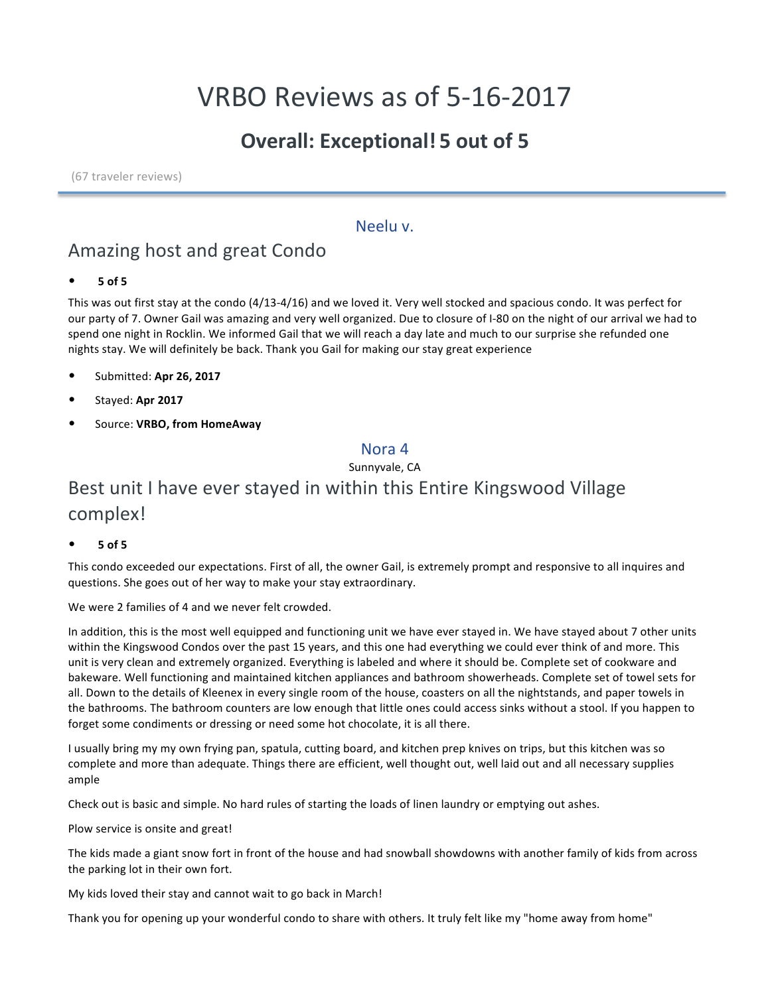# VRBO Reviews as of 5-16-2017

## **Overall: Exceptional! 5 out of 5**

(67 traveler reviews)

### Neelu v.

## Amazing host and great Condo

• **5 of 5**

This was out first stay at the condo (4/13-4/16) and we loved it. Very well stocked and spacious condo. It was perfect for our party of 7. Owner Gail was amazing and very well organized. Due to closure of I-80 on the night of our arrival we had to spend one night in Rocklin. We informed Gail that we will reach a day late and much to our surprise she refunded one nights stay. We will definitely be back. Thank you Gail for making our stay great experience

- Submitted: **Apr 26, 2017**
- Stayed: **Apr 2017**
- Source: **VRBO, from HomeAway**

#### Nora 4

Sunnyvale, CA

## Best unit I have ever stayed in within this Entire Kingswood Village complex!

• **5 of 5**

This condo exceeded our expectations. First of all, the owner Gail, is extremely prompt and responsive to all inquires and questions. She goes out of her way to make your stay extraordinary.

We were 2 families of 4 and we never felt crowded.

In addition, this is the most well equipped and functioning unit we have ever stayed in. We have stayed about 7 other units within the Kingswood Condos over the past 15 years, and this one had everything we could ever think of and more. This unit is very clean and extremely organized. Everything is labeled and where it should be. Complete set of cookware and bakeware. Well functioning and maintained kitchen appliances and bathroom showerheads. Complete set of towel sets for all. Down to the details of Kleenex in every single room of the house, coasters on all the nightstands, and paper towels in the bathrooms. The bathroom counters are low enough that little ones could access sinks without a stool. If you happen to forget some condiments or dressing or need some hot chocolate, it is all there.

I usually bring my my own frying pan, spatula, cutting board, and kitchen prep knives on trips, but this kitchen was so complete and more than adequate. Things there are efficient, well thought out, well laid out and all necessary supplies ample

Check out is basic and simple. No hard rules of starting the loads of linen laundry or emptying out ashes.

Plow service is onsite and great!

The kids made a giant snow fort in front of the house and had snowball showdowns with another family of kids from across the parking lot in their own fort.

My kids loved their stay and cannot wait to go back in March!

Thank you for opening up your wonderful condo to share with others. It truly felt like my "home away from home"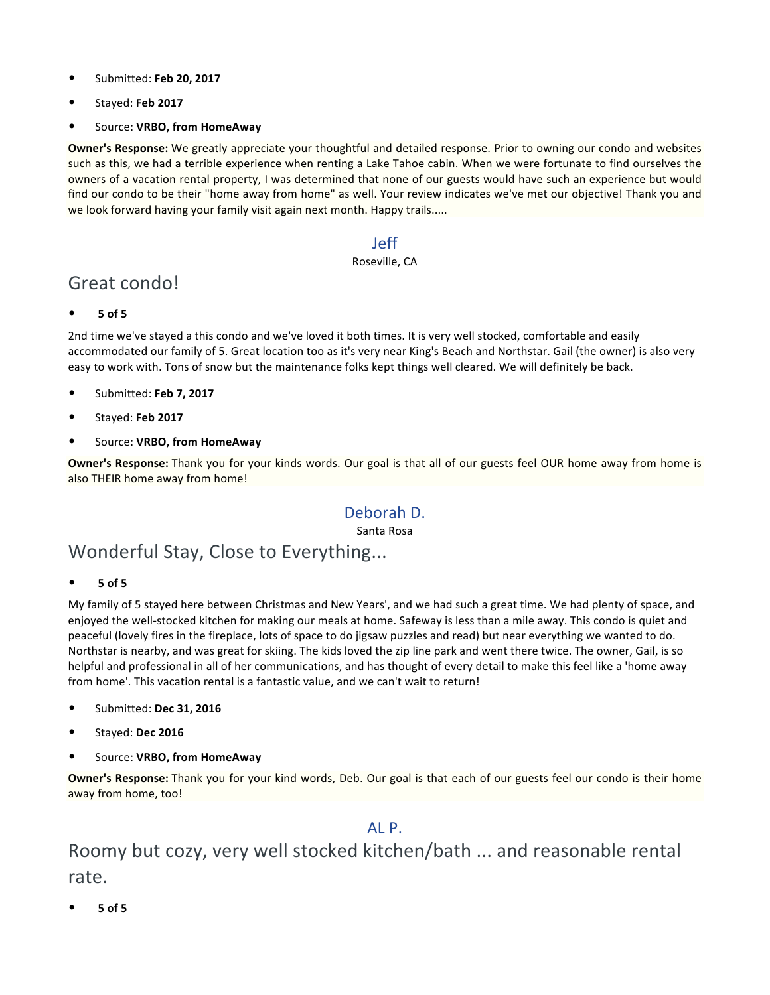- Submitted: **Feb 20, 2017**
- Stayed: **Feb 2017**
- Source: **VRBO, from HomeAway**

**Owner's Response:** We greatly appreciate your thoughtful and detailed response. Prior to owning our condo and websites such as this, we had a terrible experience when renting a Lake Tahoe cabin. When we were fortunate to find ourselves the owners of a vacation rental property, I was determined that none of our guests would have such an experience but would find our condo to be their "home away from home" as well. Your review indicates we've met our objective! Thank you and we look forward having your family visit again next month. Happy trails.....

### Jeff

#### Roseville, CA

## Great condo!

• **5 of 5**

2nd time we've stayed a this condo and we've loved it both times. It is very well stocked, comfortable and easily accommodated our family of 5. Great location too as it's very near King's Beach and Northstar. Gail (the owner) is also very easy to work with. Tons of snow but the maintenance folks kept things well cleared. We will definitely be back.

- Submitted: **Feb 7, 2017**
- Stayed: **Feb 2017**
- Source: **VRBO, from HomeAway**

**Owner's Response:** Thank you for your kinds words. Our goal is that all of our guests feel OUR home away from home is also THEIR home away from home!

### Deborah D.

Santa Rosa

## Wonderful Stay, Close to Everything...

• **5 of 5**

My family of 5 stayed here between Christmas and New Years', and we had such a great time. We had plenty of space, and enjoyed the well-stocked kitchen for making our meals at home. Safeway is less than a mile away. This condo is quiet and peaceful (lovely fires in the fireplace, lots of space to do jigsaw puzzles and read) but near everything we wanted to do. Northstar is nearby, and was great for skiing. The kids loved the zip line park and went there twice. The owner, Gail, is so helpful and professional in all of her communications, and has thought of every detail to make this feel like a 'home away from home'. This vacation rental is a fantastic value, and we can't wait to return!

- Submitted: **Dec 31, 2016**
- Stayed: **Dec 2016**
- Source: **VRBO, from HomeAway**

**Owner's Response:** Thank you for your kind words, Deb. Our goal is that each of our guests feel our condo is their home away from home, too!

### AL P.

## Roomy but cozy, very well stocked kitchen/bath ... and reasonable rental rate.

• **5 of 5**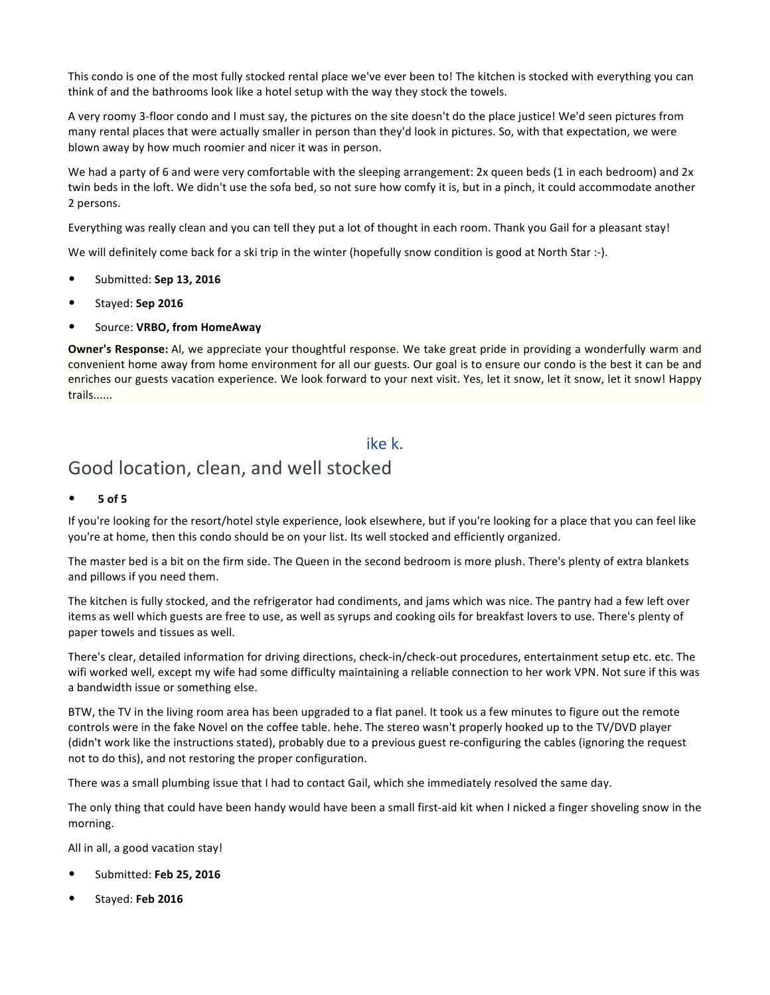This condo is one of the most fully stocked rental place we've ever been to! The kitchen is stocked with everything you can think of and the bathrooms look like a hotel setup with the way they stock the towels.

A very roomy 3-floor condo and I must say, the pictures on the site doesn't do the place justice! We'd seen pictures from many rental places that were actually smaller in person than they'd look in pictures. So, with that expectation, we were blown away by how much roomier and nicer it was in person.

We had a party of 6 and were very comfortable with the sleeping arrangement: 2x queen beds (1 in each bedroom) and 2x twin beds in the loft. We didn't use the sofa bed, so not sure how comfy it is, but in a pinch, it could accommodate another 2 persons.

Everything was really clean and you can tell they put a lot of thought in each room. Thank you Gail for a pleasant stay!

We will definitely come back for a ski trip in the winter (hopefully snow condition is good at North Star :-).

- Submitted: **Sep 13, 2016**
- Stayed: **Sep 2016**
- Source: **VRBO, from HomeAway**

**Owner's Response:** Al, we appreciate your thoughtful response. We take great pride in providing a wonderfully warm and convenient home away from home environment for all our guests. Our goal is to ensure our condo is the best it can be and enriches our guests vacation experience. We look forward to your next visit. Yes, let it snow, let it snow, let it snow! Happy trails......

### ike k.

## Good location, clean, and well stocked

• **5 of 5**

If you're looking for the resort/hotel style experience, look elsewhere, but if you're looking for a place that you can feel like you're at home, then this condo should be on your list. Its well stocked and efficiently organized.

The master bed is a bit on the firm side. The Queen in the second bedroom is more plush. There's plenty of extra blankets and pillows if you need them.

The kitchen is fully stocked, and the refrigerator had condiments, and jams which was nice. The pantry had a few left over items as well which guests are free to use, as well as syrups and cooking oils for breakfast lovers to use. There's plenty of paper towels and tissues as well.

There's clear, detailed information for driving directions, check-in/check-out procedures, entertainment setup etc. etc. The wifi worked well, except my wife had some difficulty maintaining a reliable connection to her work VPN. Not sure if this was a bandwidth issue or something else.

BTW, the TV in the living room area has been upgraded to a flat panel. It took us a few minutes to figure out the remote controls were in the fake Novel on the coffee table. hehe. The stereo wasn't properly hooked up to the TV/DVD player (didn't work like the instructions stated), probably due to a previous guest re-configuring the cables (ignoring the request not to do this), and not restoring the proper configuration.

There was a small plumbing issue that I had to contact Gail, which she immediately resolved the same day.

The only thing that could have been handy would have been a small first-aid kit when I nicked a finger shoveling snow in the morning.

All in all, a good vacation stay!

- Submitted: **Feb 25, 2016**
- Stayed: **Feb 2016**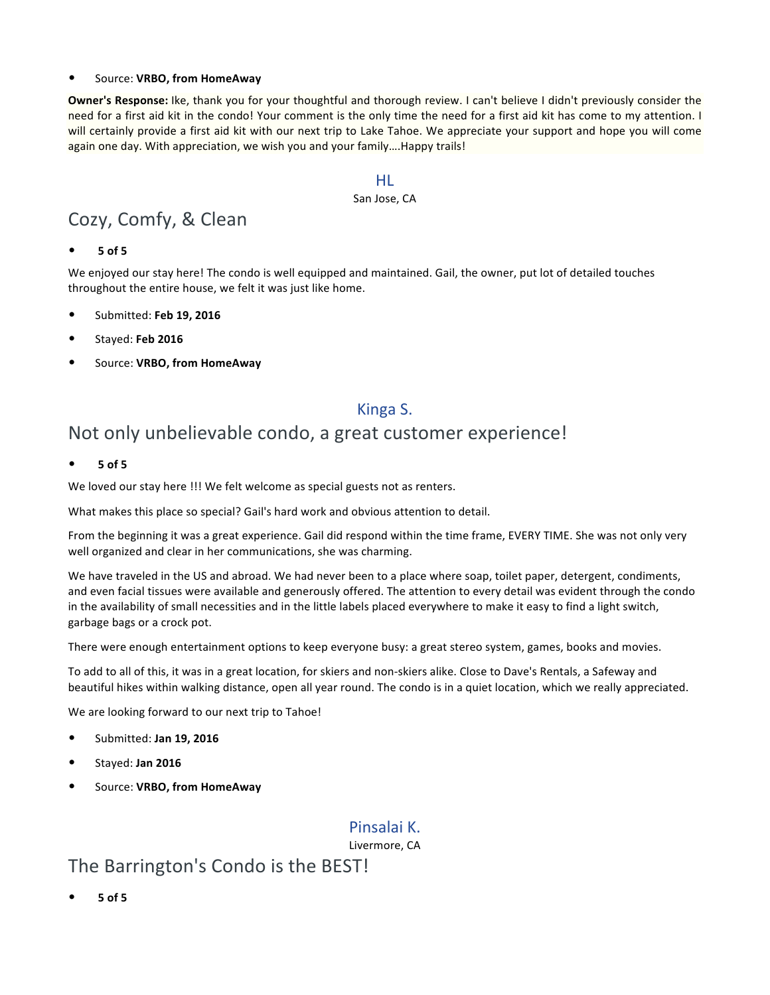#### • Source: **VRBO, from HomeAway**

**Owner's Response:** Ike, thank you for your thoughtful and thorough review. I can't believe I didn't previously consider the need for a first aid kit in the condo! Your comment is the only time the need for a first aid kit has come to my attention. I will certainly provide a first aid kit with our next trip to Lake Tahoe. We appreciate your support and hope you will come again one day. With appreciation, we wish you and your family….Happy trails!

#### HL

#### San Jose, CA

## Cozy, Comfy, & Clean

• **5 of 5**

We enjoyed our stay here! The condo is well equipped and maintained. Gail, the owner, put lot of detailed touches throughout the entire house, we felt it was just like home.

- Submitted: **Feb 19, 2016**
- Stayed: **Feb 2016**
- Source: **VRBO, from HomeAway**

### Kinga S.

## Not only unbelievable condo, a great customer experience!

• **5 of 5**

We loved our stay here !!! We felt welcome as special guests not as renters.

What makes this place so special? Gail's hard work and obvious attention to detail.

From the beginning it was a great experience. Gail did respond within the time frame, EVERY TIME. She was not only very well organized and clear in her communications, she was charming.

We have traveled in the US and abroad. We had never been to a place where soap, toilet paper, detergent, condiments, and even facial tissues were available and generously offered. The attention to every detail was evident through the condo in the availability of small necessities and in the little labels placed everywhere to make it easy to find a light switch, garbage bags or a crock pot.

There were enough entertainment options to keep everyone busy: a great stereo system, games, books and movies.

To add to all of this, it was in a great location, for skiers and non-skiers alike. Close to Dave's Rentals, a Safeway and beautiful hikes within walking distance, open all year round. The condo is in a quiet location, which we really appreciated.

We are looking forward to our next trip to Tahoe!

- Submitted: **Jan 19, 2016**
- Stayed: **Jan 2016**
- Source: **VRBO, from HomeAway**

### Pinsalai K.

Livermore, CA

### The Barrington's Condo is the BEST!

• **5 of 5**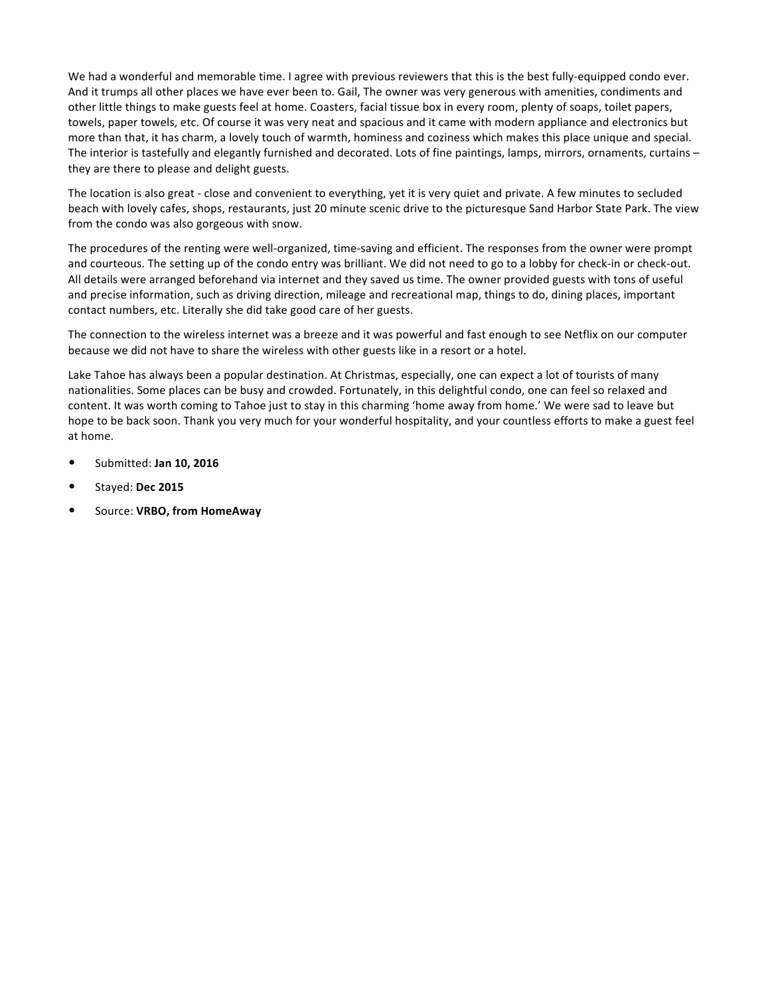We had a wonderful and memorable time. I agree with previous reviewers that this is the best fully-equipped condo ever. And it trumps all other places we have ever been to. Gail, The owner was very generous with amenities, condiments and other little things to make guests feel at home. Coasters, facial tissue box in every room, plenty of soaps, toilet papers, towels, paper towels, etc. Of course it was very neat and spacious and it came with modern appliance and electronics but more than that, it has charm, a lovely touch of warmth, hominess and coziness which makes this place unique and special. The interior is tastefully and elegantly furnished and decorated. Lots of fine paintings, lamps, mirrors, ornaments, curtains – they are there to please and delight guests.

The location is also great - close and convenient to everything, yet it is very quiet and private. A few minutes to secluded beach with lovely cafes, shops, restaurants, just 20 minute scenic drive to the picturesque Sand Harbor State Park. The view from the condo was also gorgeous with snow.

The procedures of the renting were well-organized, time-saving and efficient. The responses from the owner were prompt and courteous. The setting up of the condo entry was brilliant. We did not need to go to a lobby for check-in or check-out. All details were arranged beforehand via internet and they saved us time. The owner provided guests with tons of useful and precise information, such as driving direction, mileage and recreational map, things to do, dining places, important contact numbers, etc. Literally she did take good care of her guests.

The connection to the wireless internet was a breeze and it was powerful and fast enough to see Netflix on our computer because we did not have to share the wireless with other guests like in a resort or a hotel.

Lake Tahoe has always been a popular destination. At Christmas, especially, one can expect a lot of tourists of many nationalities. Some places can be busy and crowded. Fortunately, in this delightful condo, one can feel so relaxed and content. It was worth coming to Tahoe just to stay in this charming 'home away from home.' We were sad to leave but hope to be back soon. Thank you very much for your wonderful hospitality, and your countless efforts to make a guest feel at home.

- Submitted: **Jan 10, 2016**
- Stayed: **Dec 2015**
- Source: **VRBO, from HomeAway**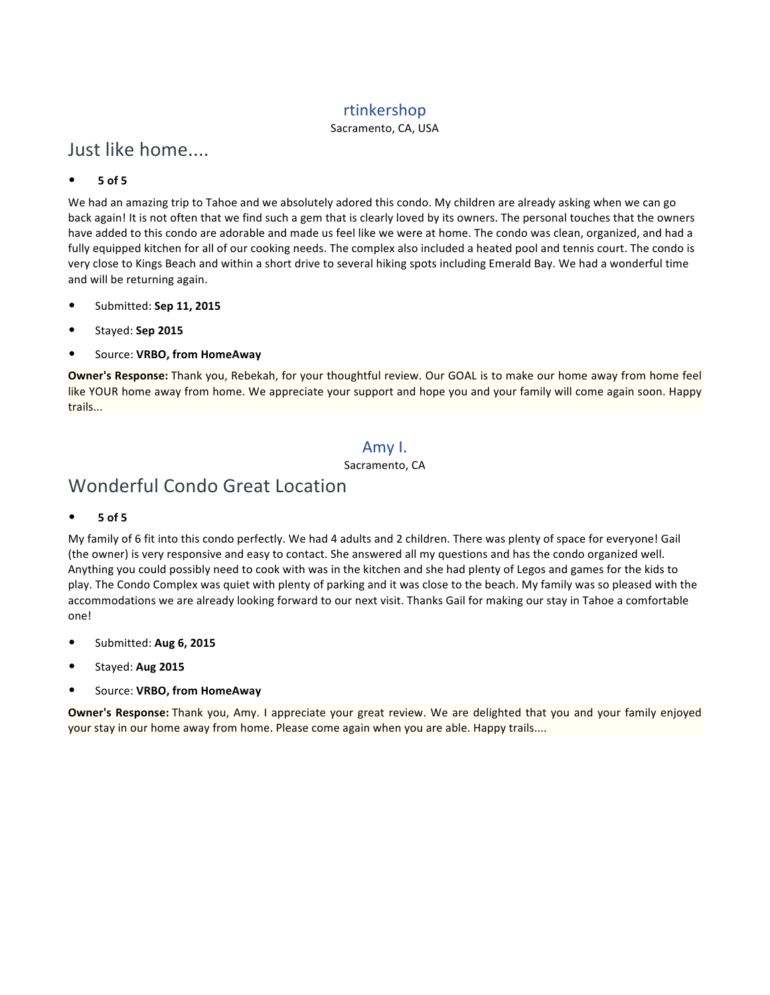### rtinkershop

Sacramento, CA, USA

## Just like home....

#### • **5 of 5**

We had an amazing trip to Tahoe and we absolutely adored this condo. My children are already asking when we can go back again! It is not often that we find such a gem that is clearly loved by its owners. The personal touches that the owners have added to this condo are adorable and made us feel like we were at home. The condo was clean, organized, and had a fully equipped kitchen for all of our cooking needs. The complex also included a heated pool and tennis court. The condo is very close to Kings Beach and within a short drive to several hiking spots including Emerald Bay. We had a wonderful time and will be returning again.

- Submitted: **Sep 11, 2015**
- Stayed: **Sep 2015**
- Source: **VRBO, from HomeAway**

**Owner's Response:** Thank you, Rebekah, for your thoughtful review. Our GOAL is to make our home away from home feel like YOUR home away from home. We appreciate your support and hope you and your family will come again soon. Happy trails...

### Amy I.

Sacramento, CA

## Wonderful Condo Great Location

• **5 of 5**

My family of 6 fit into this condo perfectly. We had 4 adults and 2 children. There was plenty of space for everyone! Gail (the owner) is very responsive and easy to contact. She answered all my questions and has the condo organized well. Anything you could possibly need to cook with was in the kitchen and she had plenty of Legos and games for the kids to play. The Condo Complex was quiet with plenty of parking and it was close to the beach. My family was so pleased with the accommodations we are already looking forward to our next visit. Thanks Gail for making our stay in Tahoe a comfortable one!

- Submitted: **Aug 6, 2015**
- Stayed: **Aug 2015**
- Source: **VRBO, from HomeAway**

**Owner's Response:** Thank you, Amy. I appreciate your great review. We are delighted that you and your family enjoyed your stay in our home away from home. Please come again when you are able. Happy trails....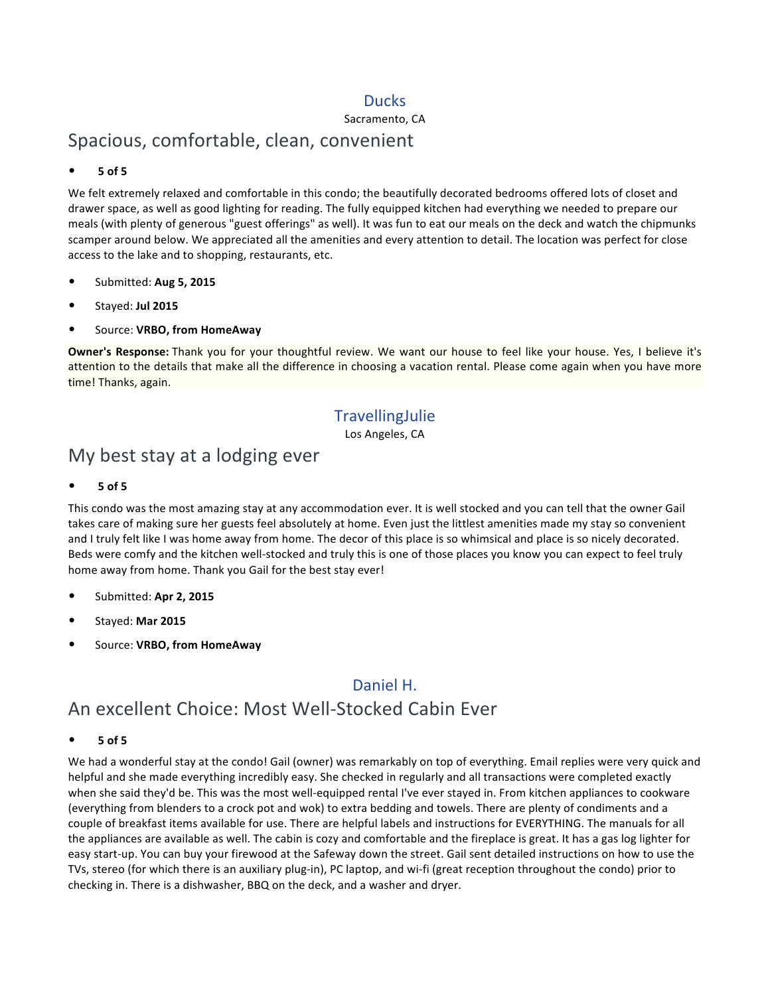### Ducks

#### Sacramento, CA

### Spacious, comfortable, clean, convenient

#### • **5 of 5**

We felt extremely relaxed and comfortable in this condo; the beautifully decorated bedrooms offered lots of closet and drawer space, as well as good lighting for reading. The fully equipped kitchen had everything we needed to prepare our meals (with plenty of generous "guest offerings" as well). It was fun to eat our meals on the deck and watch the chipmunks scamper around below. We appreciated all the amenities and every attention to detail. The location was perfect for close access to the lake and to shopping, restaurants, etc.

- Submitted: **Aug 5, 2015**
- Stayed: **Jul 2015**
- Source: **VRBO, from HomeAway**

**Owner's Response:** Thank you for your thoughtful review. We want our house to feel like your house. Yes, I believe it's attention to the details that make all the difference in choosing a vacation rental. Please come again when you have more time! Thanks, again.

### **TravellingJulie**

Los Angeles, CA

### My best stay at a lodging ever

#### • **5 of 5**

This condo was the most amazing stay at any accommodation ever. It is well stocked and you can tell that the owner Gail takes care of making sure her guests feel absolutely at home. Even just the littlest amenities made my stay so convenient and I truly felt like I was home away from home. The decor of this place is so whimsical and place is so nicely decorated. Beds were comfy and the kitchen well-stocked and truly this is one of those places you know you can expect to feel truly home away from home. Thank you Gail for the best stay ever!

- Submitted: **Apr 2, 2015**
- Stayed: **Mar 2015**
- Source: **VRBO, from HomeAway**

### Daniel H. An excellent Choice: Most Well-Stocked Cabin Ever

#### • **5 of 5**

We had a wonderful stay at the condo! Gail (owner) was remarkably on top of everything. Email replies were very quick and helpful and she made everything incredibly easy. She checked in regularly and all transactions were completed exactly when she said they'd be. This was the most well-equipped rental I've ever stayed in. From kitchen appliances to cookware (everything from blenders to a crock pot and wok) to extra bedding and towels. There are plenty of condiments and a couple of breakfast items available for use. There are helpful labels and instructions for EVERYTHING. The manuals for all the appliances are available as well. The cabin is cozy and comfortable and the fireplace is great. It has a gas log lighter for easy start-up. You can buy your firewood at the Safeway down the street. Gail sent detailed instructions on how to use the TVs, stereo (for which there is an auxiliary plug-in), PC laptop, and wi-fi (great reception throughout the condo) prior to checking in. There is a dishwasher, BBQ on the deck, and a washer and dryer.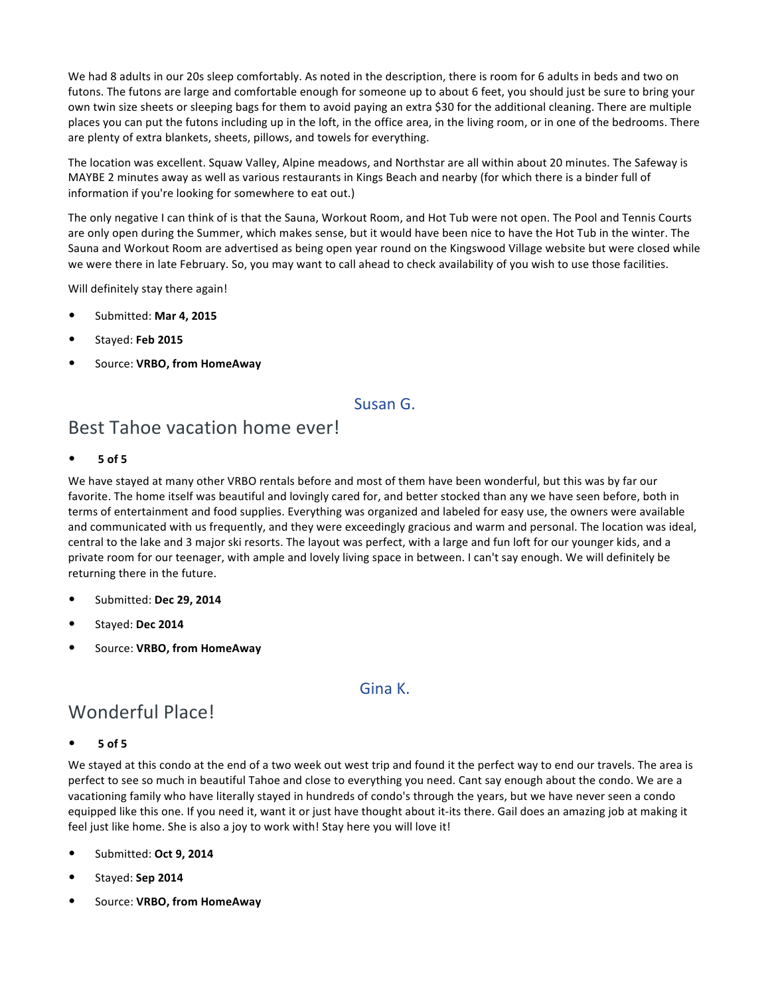We had 8 adults in our 20s sleep comfortably. As noted in the description, there is room for 6 adults in beds and two on futons. The futons are large and comfortable enough for someone up to about 6 feet, you should just be sure to bring your own twin size sheets or sleeping bags for them to avoid paying an extra \$30 for the additional cleaning. There are multiple places you can put the futons including up in the loft, in the office area, in the living room, or in one of the bedrooms. There are plenty of extra blankets, sheets, pillows, and towels for everything.

The location was excellent. Squaw Valley, Alpine meadows, and Northstar are all within about 20 minutes. The Safeway is MAYBE 2 minutes away as well as various restaurants in Kings Beach and nearby (for which there is a binder full of information if you're looking for somewhere to eat out.)

The only negative I can think of is that the Sauna, Workout Room, and Hot Tub were not open. The Pool and Tennis Courts are only open during the Summer, which makes sense, but it would have been nice to have the Hot Tub in the winter. The Sauna and Workout Room are advertised as being open year round on the Kingswood Village website but were closed while we were there in late February. So, you may want to call ahead to check availability of you wish to use those facilities.

Will definitely stay there again!

- Submitted: **Mar 4, 2015**
- Stayed: **Feb 2015**
- Source: **VRBO, from HomeAway**

### Susan G.

## Best Tahoe vacation home ever!

• **5 of 5**

We have stayed at many other VRBO rentals before and most of them have been wonderful, but this was by far our favorite. The home itself was beautiful and lovingly cared for, and better stocked than any we have seen before, both in terms of entertainment and food supplies. Everything was organized and labeled for easy use, the owners were available and communicated with us frequently, and they were exceedingly gracious and warm and personal. The location was ideal, central to the lake and 3 major ski resorts. The layout was perfect, with a large and fun loft for our younger kids, and a private room for our teenager, with ample and lovely living space in between. I can't say enough. We will definitely be returning there in the future.

- Submitted: **Dec 29, 2014**
- Stayed: **Dec 2014**
- Source: **VRBO, from HomeAway**

#### Gina K.

## Wonderful Place!

#### • **5 of 5**

We stayed at this condo at the end of a two week out west trip and found it the perfect way to end our travels. The area is perfect to see so much in beautiful Tahoe and close to everything you need. Cant say enough about the condo. We are a vacationing family who have literally stayed in hundreds of condo's through the years, but we have never seen a condo equipped like this one. If you need it, want it or just have thought about it-its there. Gail does an amazing job at making it feel just like home. She is also a joy to work with! Stay here you will love it!

- Submitted: **Oct 9, 2014**
- Stayed: **Sep 2014**
- Source: **VRBO, from HomeAway**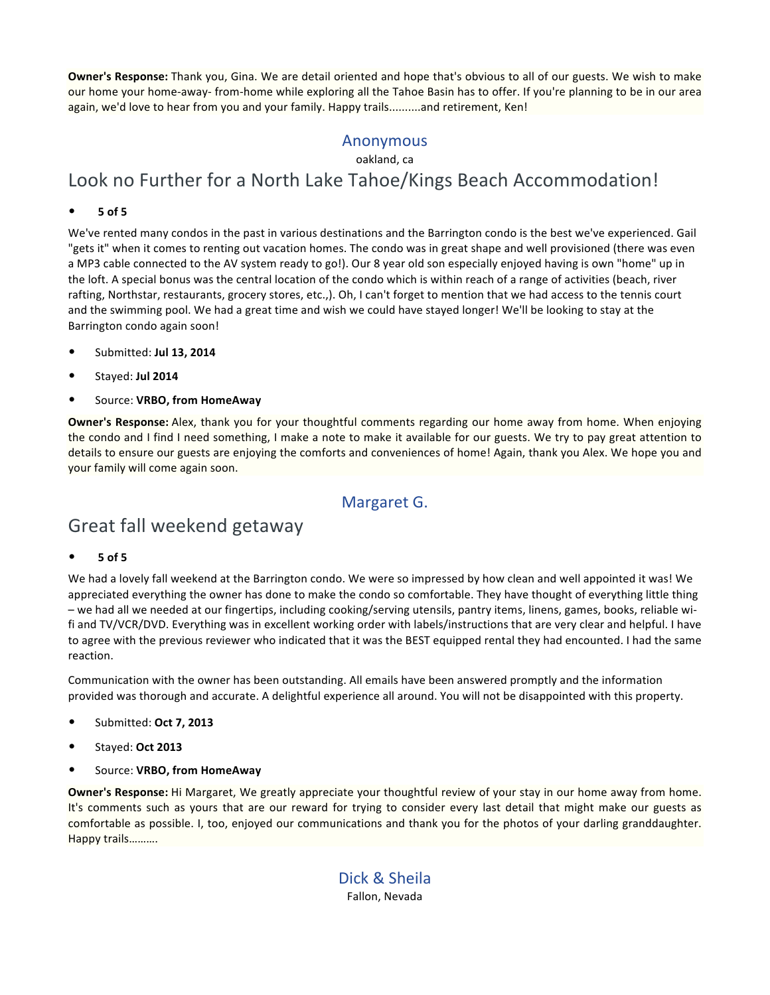**Owner's Response:** Thank you, Gina. We are detail oriented and hope that's obvious to all of our guests. We wish to make our home your home-away- from-home while exploring all the Tahoe Basin has to offer. If you're planning to be in our area again, we'd love to hear from you and your family. Happy trails..........and retirement, Ken!

### Anonymous

oakland, ca

## Look no Further for a North Lake Tahoe/Kings Beach Accommodation!

#### • **5 of 5**

We've rented many condos in the past in various destinations and the Barrington condo is the best we've experienced. Gail "gets it" when it comes to renting out vacation homes. The condo was in great shape and well provisioned (there was even a MP3 cable connected to the AV system ready to go!). Our 8 year old son especially enjoyed having is own "home" up in the loft. A special bonus was the central location of the condo which is within reach of a range of activities (beach, river rafting, Northstar, restaurants, grocery stores, etc.,). Oh, I can't forget to mention that we had access to the tennis court and the swimming pool. We had a great time and wish we could have stayed longer! We'll be looking to stay at the Barrington condo again soon!

- Submitted: **Jul 13, 2014**
- Stayed: **Jul 2014**
- Source: **VRBO, from HomeAway**

**Owner's Response:** Alex, thank you for your thoughtful comments regarding our home away from home. When enjoying the condo and I find I need something, I make a note to make it available for our guests. We try to pay great attention to details to ensure our guests are enjoying the comforts and conveniences of home! Again, thank you Alex. We hope you and your family will come again soon.

### Margaret G.

## Great fall weekend getaway

#### • **5 of 5**

We had a lovely fall weekend at the Barrington condo. We were so impressed by how clean and well appointed it was! We appreciated everything the owner has done to make the condo so comfortable. They have thought of everything little thing – we had all we needed at our fingertips, including cooking/serving utensils, pantry items, linens, games, books, reliable wifi and TV/VCR/DVD. Everything was in excellent working order with labels/instructions that are very clear and helpful. I have to agree with the previous reviewer who indicated that it was the BEST equipped rental they had encounted. I had the same reaction.

Communication with the owner has been outstanding. All emails have been answered promptly and the information provided was thorough and accurate. A delightful experience all around. You will not be disappointed with this property.

- Submitted: **Oct 7, 2013**
- Stayed: **Oct 2013**
- Source: **VRBO, from HomeAway**

**Owner's Response:** Hi Margaret, We greatly appreciate your thoughtful review of your stay in our home away from home. It's comments such as yours that are our reward for trying to consider every last detail that might make our guests as comfortable as possible. I, too, enjoyed our communications and thank you for the photos of your darling granddaughter. Happy trails……….

> Dick & Sheila Fallon, Nevada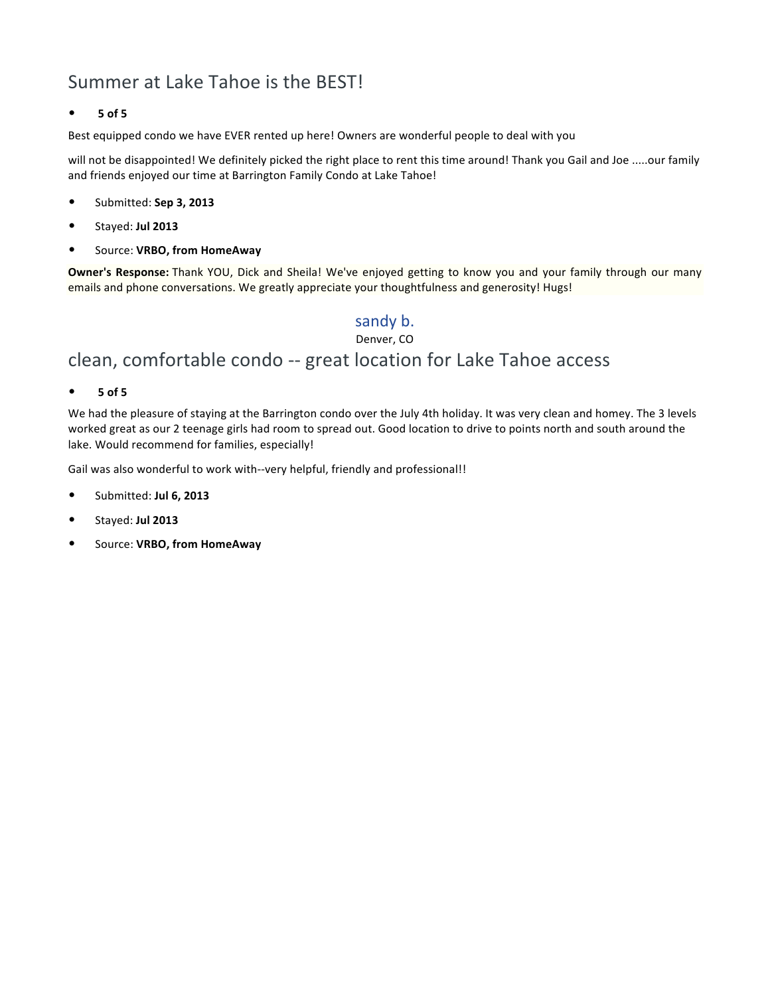## Summer at Lake Tahoe is the BEST!

#### • **5 of 5**

Best equipped condo we have EVER rented up here! Owners are wonderful people to deal with you

will not be disappointed! We definitely picked the right place to rent this time around! Thank you Gail and Joe .....our family and friends enjoyed our time at Barrington Family Condo at Lake Tahoe!

- Submitted: **Sep 3, 2013**
- Stayed: **Jul 2013**
- Source: **VRBO, from HomeAway**

**Owner's Response:** Thank YOU, Dick and Sheila! We've enjoyed getting to know you and your family through our many emails and phone conversations. We greatly appreciate your thoughtfulness and generosity! Hugs!

### sandy b.

Denver, CO

## clean, comfortable condo -- great location for Lake Tahoe access

• **5 of 5**

We had the pleasure of staying at the Barrington condo over the July 4th holiday. It was very clean and homey. The 3 levels worked great as our 2 teenage girls had room to spread out. Good location to drive to points north and south around the lake. Would recommend for families, especially!

Gail was also wonderful to work with--very helpful, friendly and professional!!

- Submitted: **Jul 6, 2013**
- Stayed: **Jul 2013**
- Source: **VRBO, from HomeAway**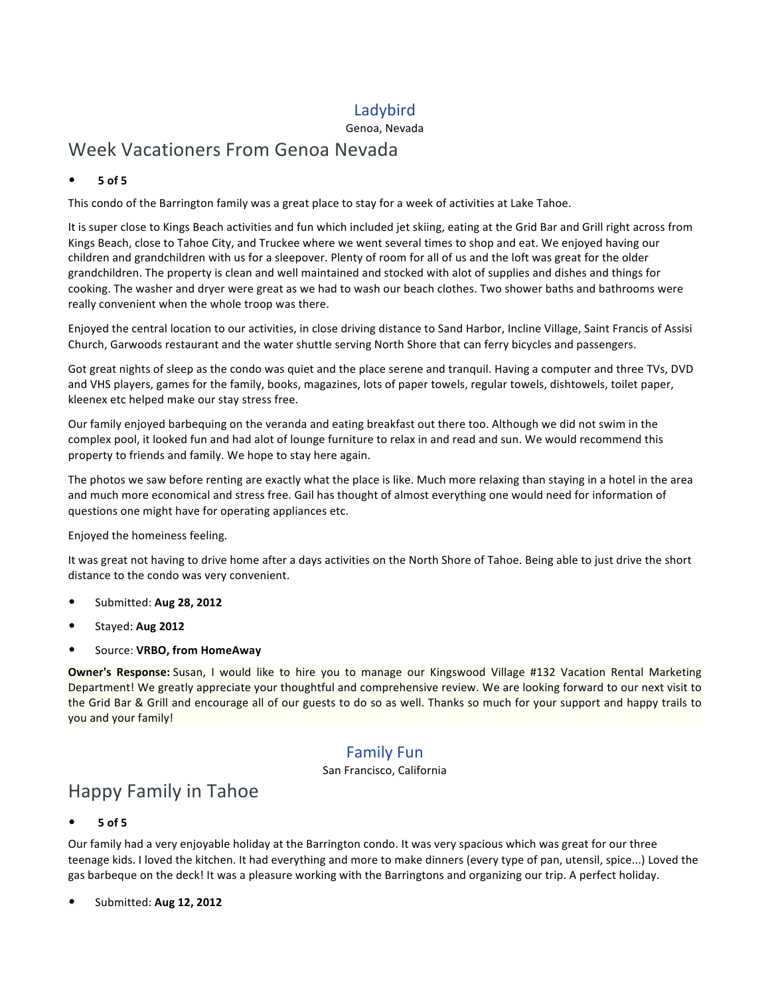### Ladybird

#### Genoa, Nevada

## Week Vacationers From Genoa Nevada

#### • **5 of 5**

This condo of the Barrington family was a great place to stay for a week of activities at Lake Tahoe.

It is super close to Kings Beach activities and fun which included jet skiing, eating at the Grid Bar and Grill right across from Kings Beach, close to Tahoe City, and Truckee where we went several times to shop and eat. We enjoyed having our children and grandchildren with us for a sleepover. Plenty of room for all of us and the loft was great for the older grandchildren. The property is clean and well maintained and stocked with alot of supplies and dishes and things for cooking. The washer and dryer were great as we had to wash our beach clothes. Two shower baths and bathrooms were really convenient when the whole troop was there.

Enjoyed the central location to our activities, in close driving distance to Sand Harbor, Incline Village, Saint Francis of Assisi Church, Garwoods restaurant and the water shuttle serving North Shore that can ferry bicycles and passengers.

Got great nights of sleep as the condo was quiet and the place serene and tranquil. Having a computer and three TVs, DVD and VHS players, games for the family, books, magazines, lots of paper towels, regular towels, dishtowels, toilet paper, kleenex etc helped make our stay stress free.

Our family enjoyed barbequing on the veranda and eating breakfast out there too. Although we did not swim in the complex pool, it looked fun and had alot of lounge furniture to relax in and read and sun. We would recommend this property to friends and family. We hope to stay here again.

The photos we saw before renting are exactly what the place is like. Much more relaxing than staying in a hotel in the area and much more economical and stress free. Gail has thought of almost everything one would need for information of questions one might have for operating appliances etc.

Enjoyed the homeiness feeling.

It was great not having to drive home after a days activities on the North Shore of Tahoe. Being able to just drive the short distance to the condo was very convenient.

- Submitted: **Aug 28, 2012**
- Stayed: **Aug 2012**
- Source: **VRBO, from HomeAway**

**Owner's Response:** Susan, I would like to hire you to manage our Kingswood Village #132 Vacation Rental Marketing Department! We greatly appreciate your thoughtful and comprehensive review. We are looking forward to our next visit to the Grid Bar & Grill and encourage all of our guests to do so as well. Thanks so much for your support and happy trails to you and your family!

### Family Fun

San Francisco, California

## Happy Family in Tahoe

#### • **5 of 5**

Our family had a very enjoyable holiday at the Barrington condo. It was very spacious which was great for our three teenage kids. I loved the kitchen. It had everything and more to make dinners (every type of pan, utensil, spice...) Loved the gas barbeque on the deck! It was a pleasure working with the Barringtons and organizing our trip. A perfect holiday.

• Submitted: **Aug 12, 2012**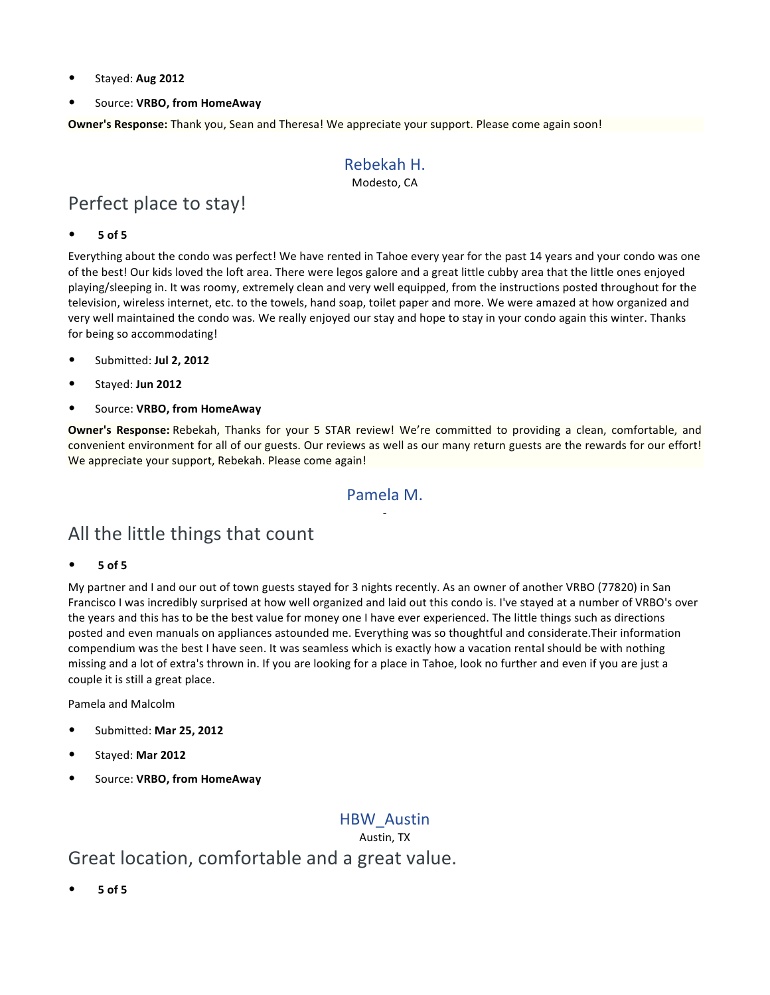- Stayed: **Aug 2012**
- Source: **VRBO, from HomeAway**

**Owner's Response:** Thank you, Sean and Theresa! We appreciate your support. Please come again soon!

### Rebekah H.

Modesto, CA

## Perfect place to stay!

#### • **5 of 5**

Everything about the condo was perfect! We have rented in Tahoe every year for the past 14 years and your condo was one of the best! Our kids loved the loft area. There were legos galore and a great little cubby area that the little ones enjoyed playing/sleeping in. It was roomy, extremely clean and very well equipped, from the instructions posted throughout for the television, wireless internet, etc. to the towels, hand soap, toilet paper and more. We were amazed at how organized and very well maintained the condo was. We really enjoyed our stay and hope to stay in your condo again this winter. Thanks for being so accommodating!

- Submitted: **Jul 2, 2012**
- Stayed: **Jun 2012**
- Source: **VRBO, from HomeAway**

**Owner's Response:** Rebekah, Thanks for your 5 STAR review! We're committed to providing a clean, comfortable, and convenient environment for all of our guests. Our reviews as well as our many return guests are the rewards for our effort! We appreciate your support, Rebekah. Please come again!

### Pamela M. -

## All the little things that count

#### • **5 of 5**

My partner and I and our out of town guests stayed for 3 nights recently. As an owner of another VRBO (77820) in San Francisco I was incredibly surprised at how well organized and laid out this condo is. I've stayed at a number of VRBO's over the years and this has to be the best value for money one I have ever experienced. The little things such as directions posted and even manuals on appliances astounded me. Everything was so thoughtful and considerate.Their information compendium was the best I have seen. It was seamless which is exactly how a vacation rental should be with nothing missing and a lot of extra's thrown in. If you are looking for a place in Tahoe, look no further and even if you are just a couple it is still a great place.

Pamela and Malcolm

- Submitted: **Mar 25, 2012**
- Stayed: **Mar 2012**
- Source: **VRBO, from HomeAway**

### HBW\_Austin

Austin, TX

## Great location, comfortable and a great value.

• **5 of 5**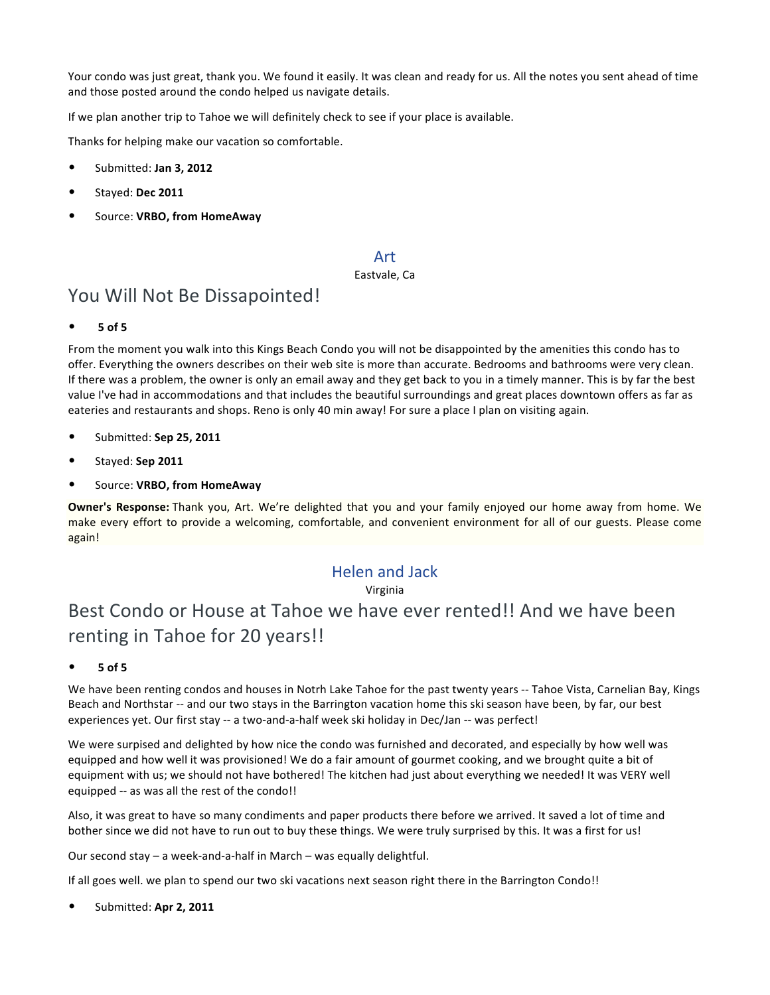Your condo was just great, thank you. We found it easily. It was clean and ready for us. All the notes you sent ahead of time and those posted around the condo helped us navigate details.

If we plan another trip to Tahoe we will definitely check to see if your place is available.

Thanks for helping make our vacation so comfortable.

- Submitted: **Jan 3, 2012**
- Stayed: **Dec 2011**
- Source: **VRBO, from HomeAway**

#### Art

#### Eastvale, Ca

## You Will Not Be Dissapointed!

• **5 of 5**

From the moment you walk into this Kings Beach Condo you will not be disappointed by the amenities this condo has to offer. Everything the owners describes on their web site is more than accurate. Bedrooms and bathrooms were very clean. If there was a problem, the owner is only an email away and they get back to you in a timely manner. This is by far the best value I've had in accommodations and that includes the beautiful surroundings and great places downtown offers as far as eateries and restaurants and shops. Reno is only 40 min away! For sure a place I plan on visiting again.

- Submitted: **Sep 25, 2011**
- Stayed: **Sep 2011**
- Source: **VRBO, from HomeAway**

**Owner's Response:** Thank you, Art. We're delighted that you and your family enjoyed our home away from home. We make every effort to provide a welcoming, comfortable, and convenient environment for all of our guests. Please come again!

### Helen and Jack

#### Virginia

## Best Condo or House at Tahoe we have ever rented!! And we have been renting in Tahoe for 20 years!!

• **5 of 5**

We have been renting condos and houses in Notrh Lake Tahoe for the past twenty years -- Tahoe Vista, Carnelian Bay, Kings Beach and Northstar -- and our two stays in the Barrington vacation home this ski season have been, by far, our best experiences yet. Our first stay -- a two-and-a-half week ski holiday in Dec/Jan -- was perfect!

We were surpised and delighted by how nice the condo was furnished and decorated, and especially by how well was equipped and how well it was provisioned! We do a fair amount of gourmet cooking, and we brought quite a bit of equipment with us; we should not have bothered! The kitchen had just about everything we needed! It was VERY well equipped -- as was all the rest of the condo!!

Also, it was great to have so many condiments and paper products there before we arrived. It saved a lot of time and bother since we did not have to run out to buy these things. We were truly surprised by this. It was a first for us!

Our second stay – a week-and-a-half in March – was equally delightful.

If all goes well. we plan to spend our two ski vacations next season right there in the Barrington Condo!!

• Submitted: **Apr 2, 2011**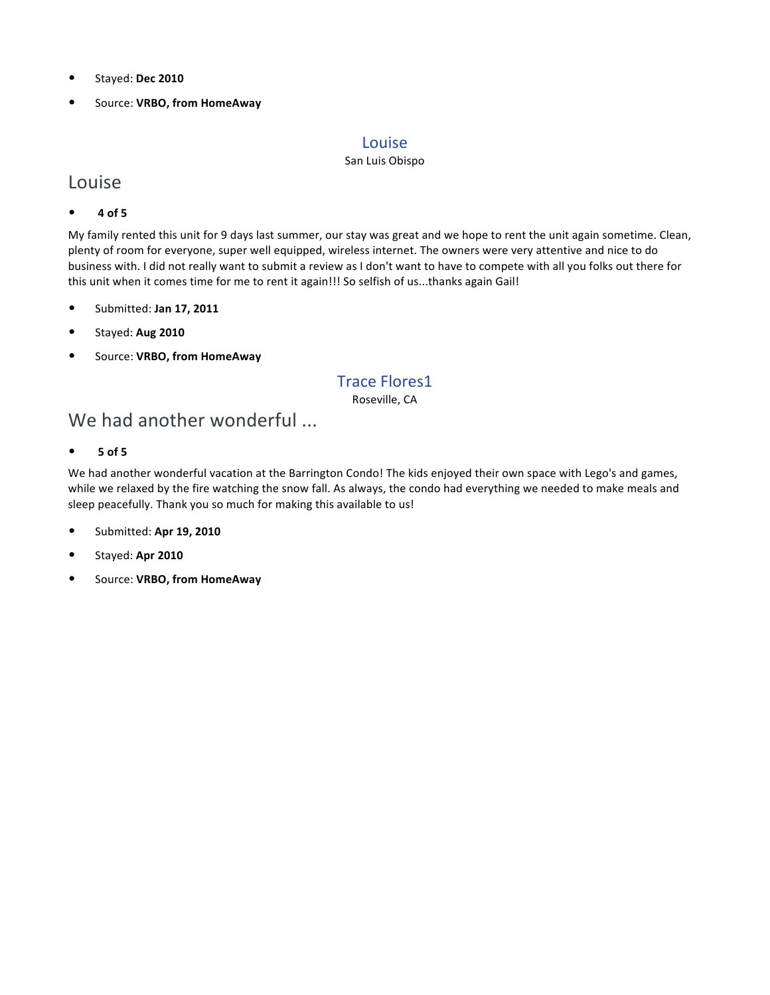- Stayed: **Dec 2010**
- Source: **VRBO, from HomeAway**

#### Louise

#### San Luis Obispo

### Louise

• **4 of 5**

My family rented this unit for 9 days last summer, our stay was great and we hope to rent the unit again sometime. Clean, plenty of room for everyone, super well equipped, wireless internet. The owners were very attentive and nice to do business with. I did not really want to submit a review as I don't want to have to compete with all you folks out there for this unit when it comes time for me to rent it again!!! So selfish of us...thanks again Gail!

- Submitted: **Jan 17, 2011**
- Stayed: **Aug 2010**
- Source: **VRBO, from HomeAway**

### Trace Flores1

Roseville, CA

## We had another wonderful ...

• **5 of 5**

We had another wonderful vacation at the Barrington Condo! The kids enjoyed their own space with Lego's and games, while we relaxed by the fire watching the snow fall. As always, the condo had everything we needed to make meals and sleep peacefully. Thank you so much for making this available to us!

- Submitted: **Apr 19, 2010**
- Stayed: **Apr 2010**
- Source: **VRBO, from HomeAway**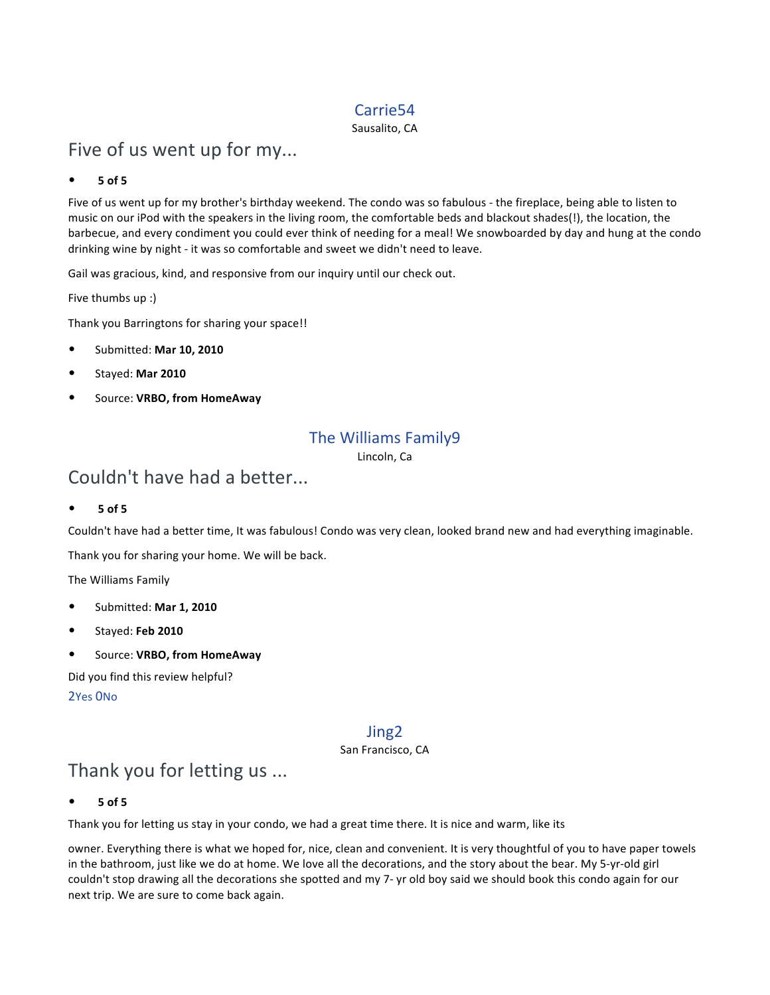### Carrie54

Sausalito, CA

## Five of us went up for my...

#### • **5 of 5**

Five of us went up for my brother's birthday weekend. The condo was so fabulous - the fireplace, being able to listen to music on our iPod with the speakers in the living room, the comfortable beds and blackout shades(!), the location, the barbecue, and every condiment you could ever think of needing for a meal! We snowboarded by day and hung at the condo drinking wine by night - it was so comfortable and sweet we didn't need to leave.

Gail was gracious, kind, and responsive from our inquiry until our check out.

Five thumbs up :)

Thank you Barringtons for sharing your space!!

- Submitted: **Mar 10, 2010**
- Stayed: **Mar 2010**
- Source: **VRBO, from HomeAway**

### The Williams Family9

Lincoln, Ca

## Couldn't have had a better...

• **5 of 5**

Couldn't have had a better time, It was fabulous! Condo was very clean, looked brand new and had everything imaginable.

Thank you for sharing your home. We will be back.

The Williams Family

- Submitted: **Mar 1, 2010**
- Stayed: **Feb 2010**
- Source: **VRBO, from HomeAway**

Did you find this review helpful?

2Yes 0No

### Jing2

San Francisco, CA

## Thank you for letting us ...

• **5 of 5**

Thank you for letting us stay in your condo, we had a great time there. It is nice and warm, like its

owner. Everything there is what we hoped for, nice, clean and convenient. It is very thoughtful of you to have paper towels in the bathroom, just like we do at home. We love all the decorations, and the story about the bear. My 5-yr-old girl couldn't stop drawing all the decorations she spotted and my 7- yr old boy said we should book this condo again for our next trip. We are sure to come back again.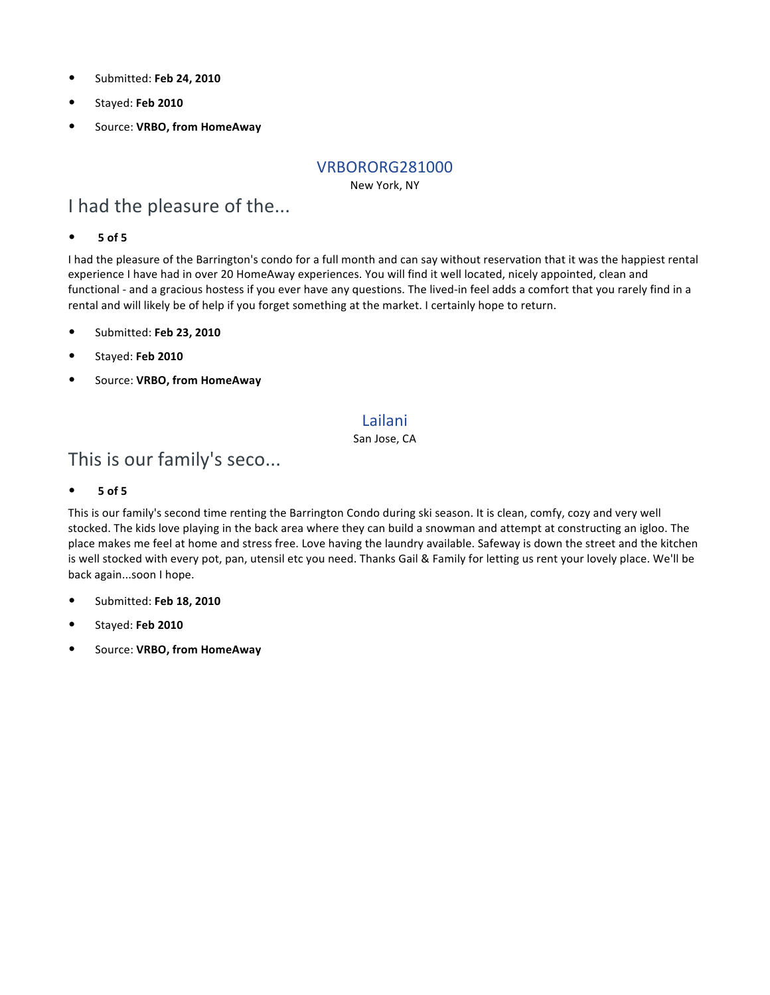- Submitted: **Feb 24, 2010**
- Stayed: **Feb 2010**
- Source: **VRBO, from HomeAway**

#### VRBORORG281000

New York, NY

## I had the pleasure of the...

#### • **5 of 5**

I had the pleasure of the Barrington's condo for a full month and can say without reservation that it was the happiest rental experience I have had in over 20 HomeAway experiences. You will find it well located, nicely appointed, clean and functional - and a gracious hostess if you ever have any questions. The lived-in feel adds a comfort that you rarely find in a rental and will likely be of help if you forget something at the market. I certainly hope to return.

- Submitted: **Feb 23, 2010**
- Stayed: **Feb 2010**
- Source: **VRBO, from HomeAway**

### Lailani

San Jose, CA

## This is our family's seco...

#### • **5 of 5**

This is our family's second time renting the Barrington Condo during ski season. It is clean, comfy, cozy and very well stocked. The kids love playing in the back area where they can build a snowman and attempt at constructing an igloo. The place makes me feel at home and stress free. Love having the laundry available. Safeway is down the street and the kitchen is well stocked with every pot, pan, utensil etc you need. Thanks Gail & Family for letting us rent your lovely place. We'll be back again...soon I hope.

- Submitted: **Feb 18, 2010**
- Stayed: **Feb 2010**
- Source: **VRBO, from HomeAway**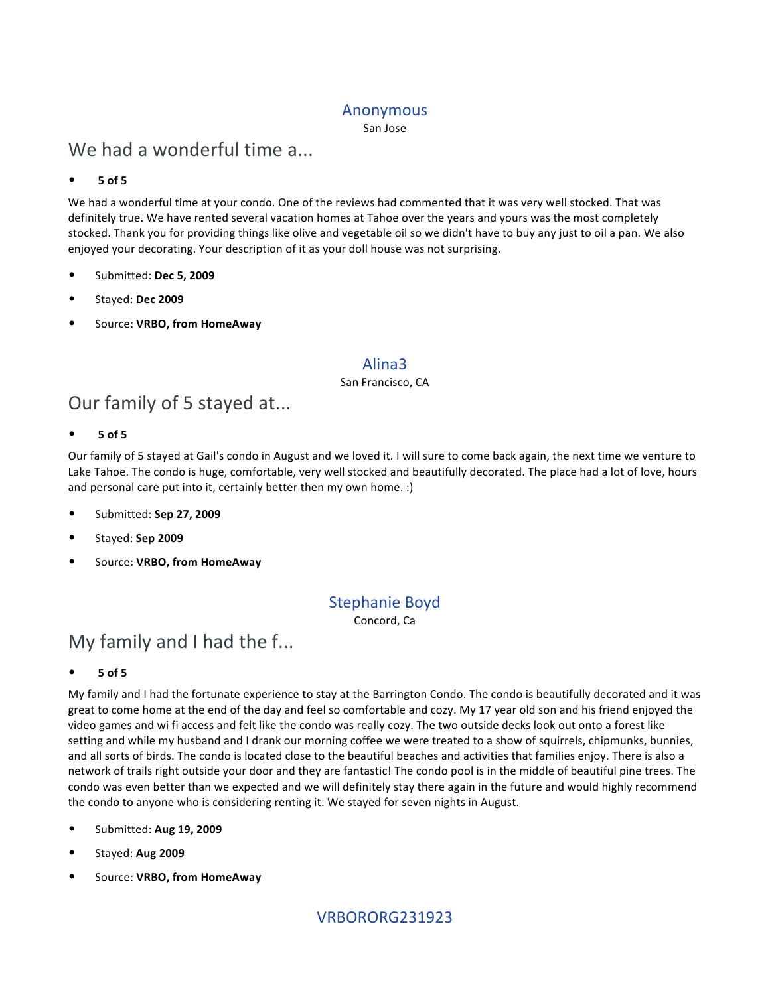#### Anonymous

San Jose

## We had a wonderful time a...

#### • **5 of 5**

We had a wonderful time at your condo. One of the reviews had commented that it was very well stocked. That was definitely true. We have rented several vacation homes at Tahoe over the years and yours was the most completely stocked. Thank you for providing things like olive and vegetable oil so we didn't have to buy any just to oil a pan. We also enjoyed your decorating. Your description of it as your doll house was not surprising.

- Submitted: **Dec 5, 2009**
- Stayed: **Dec 2009**
- Source: **VRBO, from HomeAway**

#### Alina3

#### San Francisco, CA

## Our family of 5 stayed at...

#### • **5 of 5**

Our family of 5 stayed at Gail's condo in August and we loved it. I will sure to come back again, the next time we venture to Lake Tahoe. The condo is huge, comfortable, very well stocked and beautifully decorated. The place had a lot of love, hours and personal care put into it, certainly better then my own home. :)

- Submitted: **Sep 27, 2009**
- Stayed: **Sep 2009**
- Source: **VRBO, from HomeAway**

### Stephanie Boyd Concord, Ca

## My family and I had the f...

#### • **5 of 5**

My family and I had the fortunate experience to stay at the Barrington Condo. The condo is beautifully decorated and it was great to come home at the end of the day and feel so comfortable and cozy. My 17 year old son and his friend enjoyed the video games and wi fi access and felt like the condo was really cozy. The two outside decks look out onto a forest like setting and while my husband and I drank our morning coffee we were treated to a show of squirrels, chipmunks, bunnies, and all sorts of birds. The condo is located close to the beautiful beaches and activities that families enjoy. There is also a network of trails right outside your door and they are fantastic! The condo pool is in the middle of beautiful pine trees. The condo was even better than we expected and we will definitely stay there again in the future and would highly recommend the condo to anyone who is considering renting it. We stayed for seven nights in August.

- Submitted: **Aug 19, 2009**
- Stayed: **Aug 2009**
- Source: **VRBO, from HomeAway**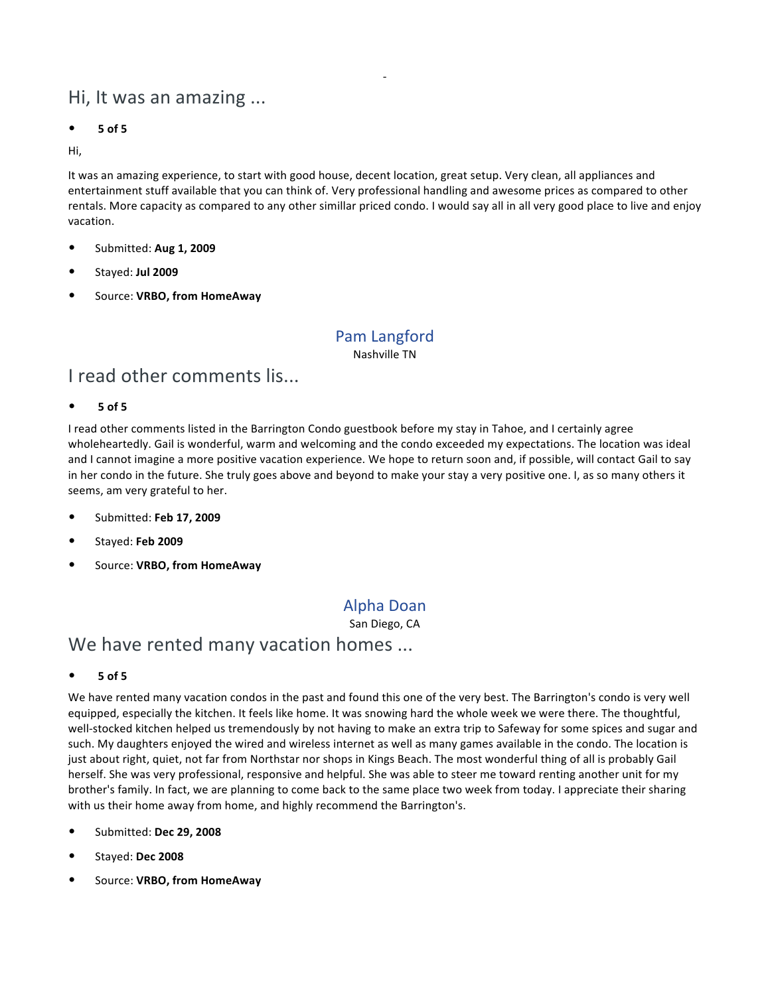## Hi, It was an amazing ...

• **5 of 5**

Hi,

It was an amazing experience, to start with good house, decent location, great setup. Very clean, all appliances and entertainment stuff available that you can think of. Very professional handling and awesome prices as compared to other rentals. More capacity as compared to any other simillar priced condo. I would say all in all very good place to live and enjoy vacation.

-

- Submitted: **Aug 1, 2009**
- Stayed: **Jul 2009**
- Source: **VRBO, from HomeAway**

### Pam Langford

Nashville TN

### I read other comments lis...

#### • **5 of 5**

I read other comments listed in the Barrington Condo guestbook before my stay in Tahoe, and I certainly agree wholeheartedly. Gail is wonderful, warm and welcoming and the condo exceeded my expectations. The location was ideal and I cannot imagine a more positive vacation experience. We hope to return soon and, if possible, will contact Gail to say in her condo in the future. She truly goes above and beyond to make your stay a very positive one. I, as so many others it seems, am very grateful to her.

- Submitted: **Feb 17, 2009**
- Stayed: **Feb 2009**
- Source: **VRBO, from HomeAway**

### Alpha Doan

San Diego, CA

### We have rented many vacation homes ...

• **5 of 5**

We have rented many vacation condos in the past and found this one of the very best. The Barrington's condo is very well equipped, especially the kitchen. It feels like home. It was snowing hard the whole week we were there. The thoughtful, well-stocked kitchen helped us tremendously by not having to make an extra trip to Safeway for some spices and sugar and such. My daughters enjoyed the wired and wireless internet as well as many games available in the condo. The location is just about right, quiet, not far from Northstar nor shops in Kings Beach. The most wonderful thing of all is probably Gail herself. She was very professional, responsive and helpful. She was able to steer me toward renting another unit for my brother's family. In fact, we are planning to come back to the same place two week from today. I appreciate their sharing with us their home away from home, and highly recommend the Barrington's.

- Submitted: **Dec 29, 2008**
- Stayed: **Dec 2008**
- Source: **VRBO, from HomeAway**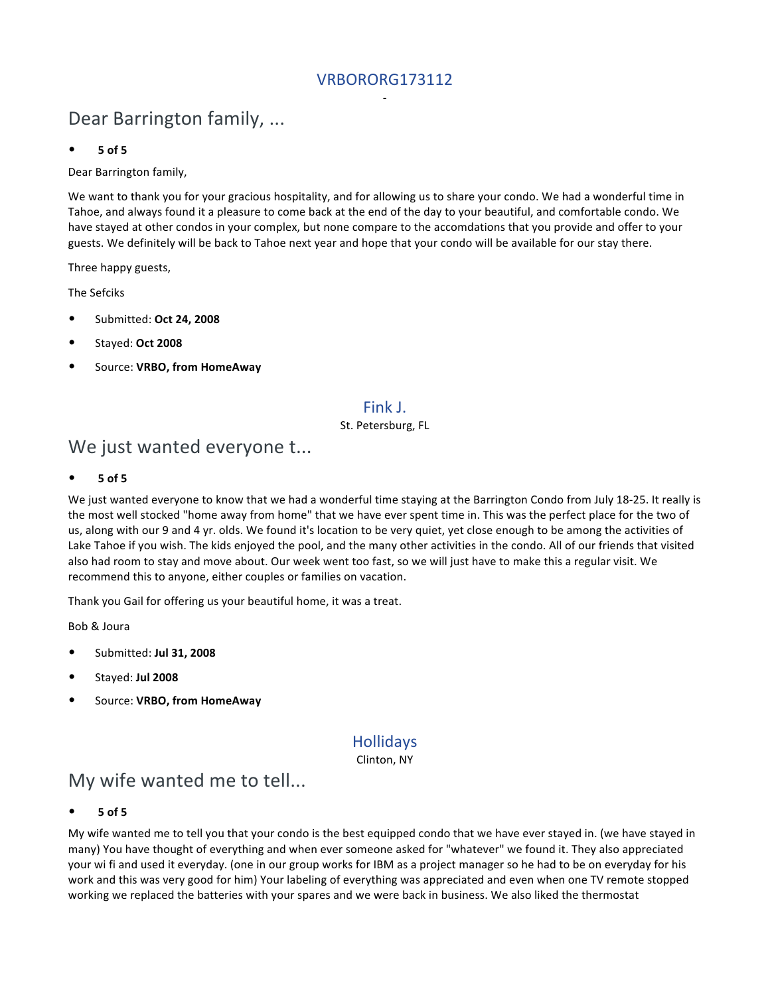### VRBORORG173112 -

## Dear Barrington family, ...

#### • **5 of 5**

Dear Barrington family,

We want to thank you for your gracious hospitality, and for allowing us to share your condo. We had a wonderful time in Tahoe, and always found it a pleasure to come back at the end of the day to your beautiful, and comfortable condo. We have stayed at other condos in your complex, but none compare to the accomdations that you provide and offer to your guests. We definitely will be back to Tahoe next year and hope that your condo will be available for our stay there.

Three happy guests,

The Sefciks

- Submitted: **Oct 24, 2008**
- Stayed: **Oct 2008**
- Source: **VRBO, from HomeAway**

### Fink J.

#### St. Petersburg, FL

## We just wanted everyone t...

• **5 of 5**

We just wanted everyone to know that we had a wonderful time staying at the Barrington Condo from July 18-25. It really is the most well stocked "home away from home" that we have ever spent time in. This was the perfect place for the two of us, along with our 9 and 4 yr. olds. We found it's location to be very quiet, yet close enough to be among the activities of Lake Tahoe if you wish. The kids enjoyed the pool, and the many other activities in the condo. All of our friends that visited also had room to stay and move about. Our week went too fast, so we will just have to make this a regular visit. We recommend this to anyone, either couples or families on vacation.

Thank you Gail for offering us your beautiful home, it was a treat.

Bob & Joura

- Submitted: **Jul 31, 2008**
- Stayed: **Jul 2008**
- Source: **VRBO, from HomeAway**

### Hollidays

Clinton, NY

### My wife wanted me to tell...

• **5 of 5**

My wife wanted me to tell you that your condo is the best equipped condo that we have ever stayed in. (we have stayed in many) You have thought of everything and when ever someone asked for "whatever" we found it. They also appreciated your wi fi and used it everyday. (one in our group works for IBM as a project manager so he had to be on everyday for his work and this was very good for him) Your labeling of everything was appreciated and even when one TV remote stopped working we replaced the batteries with your spares and we were back in business. We also liked the thermostat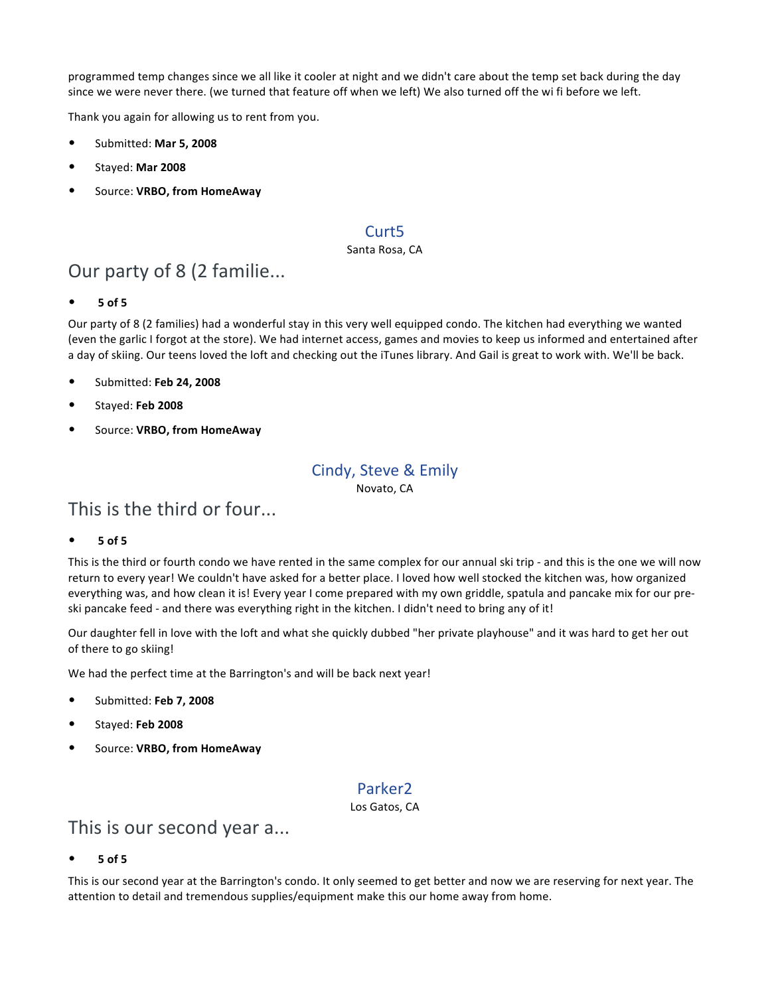programmed temp changes since we all like it cooler at night and we didn't care about the temp set back during the day since we were never there. (we turned that feature off when we left) We also turned off the wi fi before we left.

Thank you again for allowing us to rent from you.

- Submitted: **Mar 5, 2008**
- Stayed: **Mar 2008**
- Source: **VRBO, from HomeAway**

### Curt5

#### Santa Rosa, CA

## Our party of 8 (2 familie...

• **5 of 5**

Our party of 8 (2 families) had a wonderful stay in this very well equipped condo. The kitchen had everything we wanted (even the garlic I forgot at the store). We had internet access, games and movies to keep us informed and entertained after a day of skiing. Our teens loved the loft and checking out the iTunes library. And Gail is great to work with. We'll be back.

- Submitted: **Feb 24, 2008**
- Stayed: **Feb 2008**
- Source: **VRBO, from HomeAway**

### Cindy, Steve & Emily

Novato, CA

## This is the third or four...

• **5 of 5**

This is the third or fourth condo we have rented in the same complex for our annual ski trip - and this is the one we will now return to every year! We couldn't have asked for a better place. I loved how well stocked the kitchen was, how organized everything was, and how clean it is! Every year I come prepared with my own griddle, spatula and pancake mix for our preski pancake feed - and there was everything right in the kitchen. I didn't need to bring any of it!

Our daughter fell in love with the loft and what she quickly dubbed "her private playhouse" and it was hard to get her out of there to go skiing!

We had the perfect time at the Barrington's and will be back next year!

- Submitted: **Feb 7, 2008**
- Stayed: **Feb 2008**
- Source: **VRBO, from HomeAway**

### Parker2

Los Gatos, CA

### This is our second year a...

• **5 of 5**

This is our second year at the Barrington's condo. It only seemed to get better and now we are reserving for next year. The attention to detail and tremendous supplies/equipment make this our home away from home.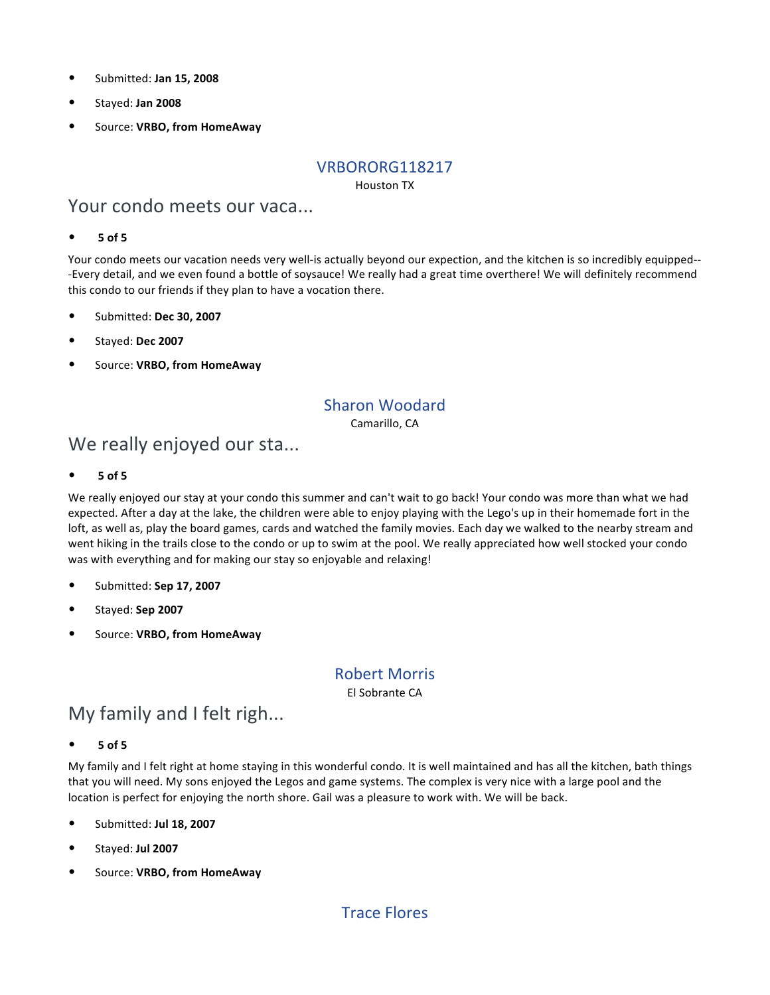- Submitted: **Jan 15, 2008**
- Stayed: **Jan 2008**
- Source: **VRBO, from HomeAway**

#### VRBORORG118217

Houston TX

### Your condo meets our vaca...

#### • **5 of 5**

Your condo meets our vacation needs very well-is actually beyond our expection, and the kitchen is so incredibly equipped-- -Every detail, and we even found a bottle of soysauce! We really had a great time overthere! We will definitely recommend this condo to our friends if they plan to have a vocation there.

- Submitted: **Dec 30, 2007**
- Stayed: **Dec 2007**
- Source: **VRBO, from HomeAway**

### Sharon Woodard

Camarillo, CA

## We really enjoyed our sta...

• **5 of 5**

We really enjoyed our stay at your condo this summer and can't wait to go back! Your condo was more than what we had expected. After a day at the lake, the children were able to enjoy playing with the Lego's up in their homemade fort in the loft, as well as, play the board games, cards and watched the family movies. Each day we walked to the nearby stream and went hiking in the trails close to the condo or up to swim at the pool. We really appreciated how well stocked your condo was with everything and for making our stay so enjoyable and relaxing!

- Submitted: **Sep 17, 2007**
- Stayed: **Sep 2007**
- Source: **VRBO, from HomeAway**

### Robert Morris

El Sobrante CA

## My family and I felt righ...

• **5 of 5**

My family and I felt right at home staying in this wonderful condo. It is well maintained and has all the kitchen, bath things that you will need. My sons enjoyed the Legos and game systems. The complex is very nice with a large pool and the location is perfect for enjoying the north shore. Gail was a pleasure to work with. We will be back.

- Submitted: **Jul 18, 2007**
- Stayed: **Jul 2007**
- Source: **VRBO, from HomeAway**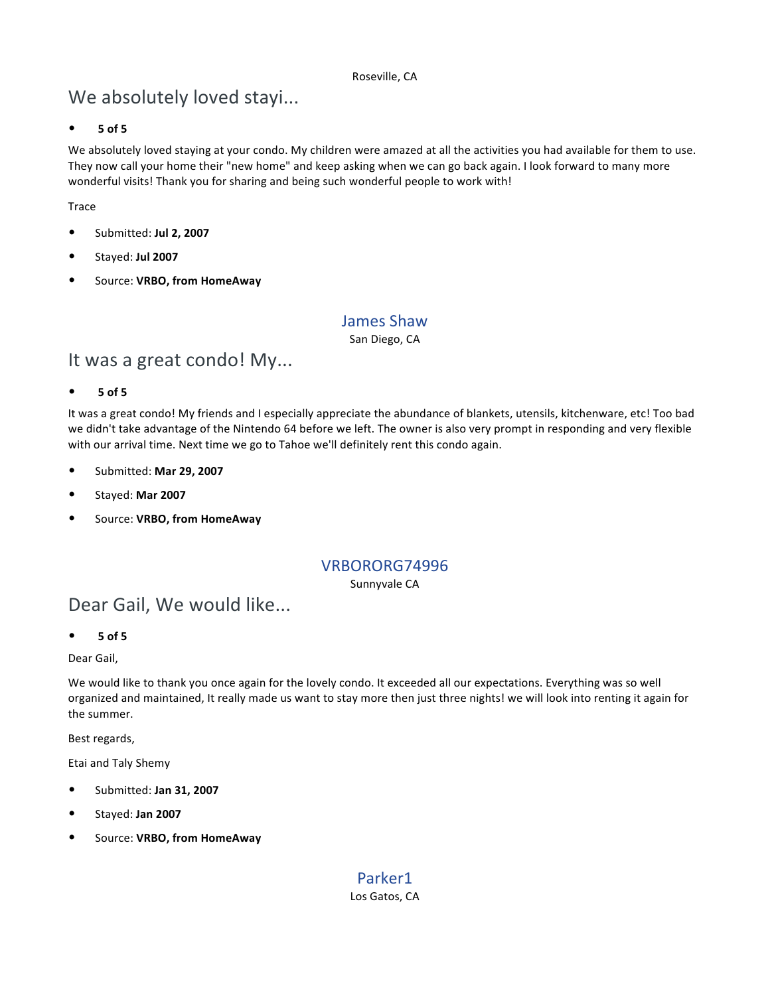#### Roseville, CA

## We absolutely loved stayi...

#### • **5 of 5**

We absolutely loved staying at your condo. My children were amazed at all the activities you had available for them to use. They now call your home their "new home" and keep asking when we can go back again. I look forward to many more wonderful visits! Thank you for sharing and being such wonderful people to work with!

#### **Trace**

- Submitted: **Jul 2, 2007**
- Stayed: **Jul 2007**
- Source: **VRBO, from HomeAway**

#### James Shaw

San Diego, CA

### It was a great condo! My...

• **5 of 5**

It was a great condo! My friends and I especially appreciate the abundance of blankets, utensils, kitchenware, etc! Too bad we didn't take advantage of the Nintendo 64 before we left. The owner is also very prompt in responding and very flexible with our arrival time. Next time we go to Tahoe we'll definitely rent this condo again.

- Submitted: **Mar 29, 2007**
- Stayed: **Mar 2007**
- Source: **VRBO, from HomeAway**

#### VRBORORG74996

Sunnyvale CA

## Dear Gail, We would like...

• **5 of 5**

Dear Gail,

We would like to thank you once again for the lovely condo. It exceeded all our expectations. Everything was so well organized and maintained, It really made us want to stay more then just three nights! we will look into renting it again for the summer.

Best regards,

Etai and Taly Shemy

- Submitted: **Jan 31, 2007**
- Stayed: **Jan 2007**
- Source: **VRBO, from HomeAway**

### Parker1

Los Gatos, CA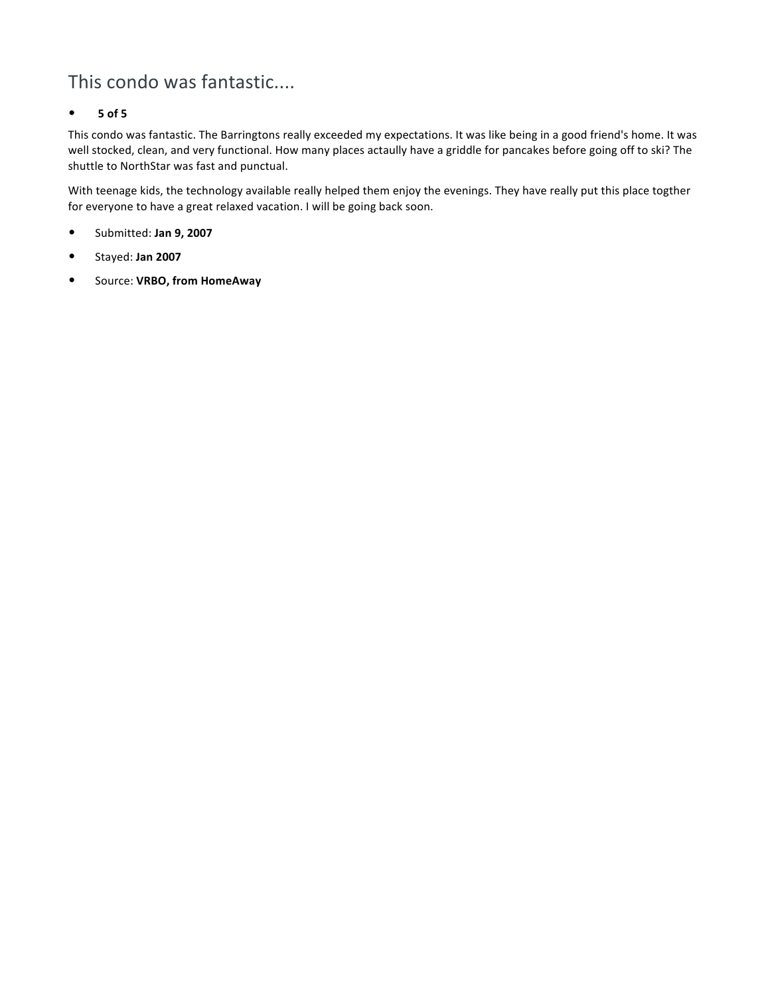## This condo was fantastic....

#### • **5 of 5**

This condo was fantastic. The Barringtons really exceeded my expectations. It was like being in a good friend's home. It was well stocked, clean, and very functional. How many places actaully have a griddle for pancakes before going off to ski? The shuttle to NorthStar was fast and punctual.

With teenage kids, the technology available really helped them enjoy the evenings. They have really put this place togther for everyone to have a great relaxed vacation. I will be going back soon.

- Submitted: **Jan 9, 2007**
- Stayed: **Jan 2007**
- Source: **VRBO, from HomeAway**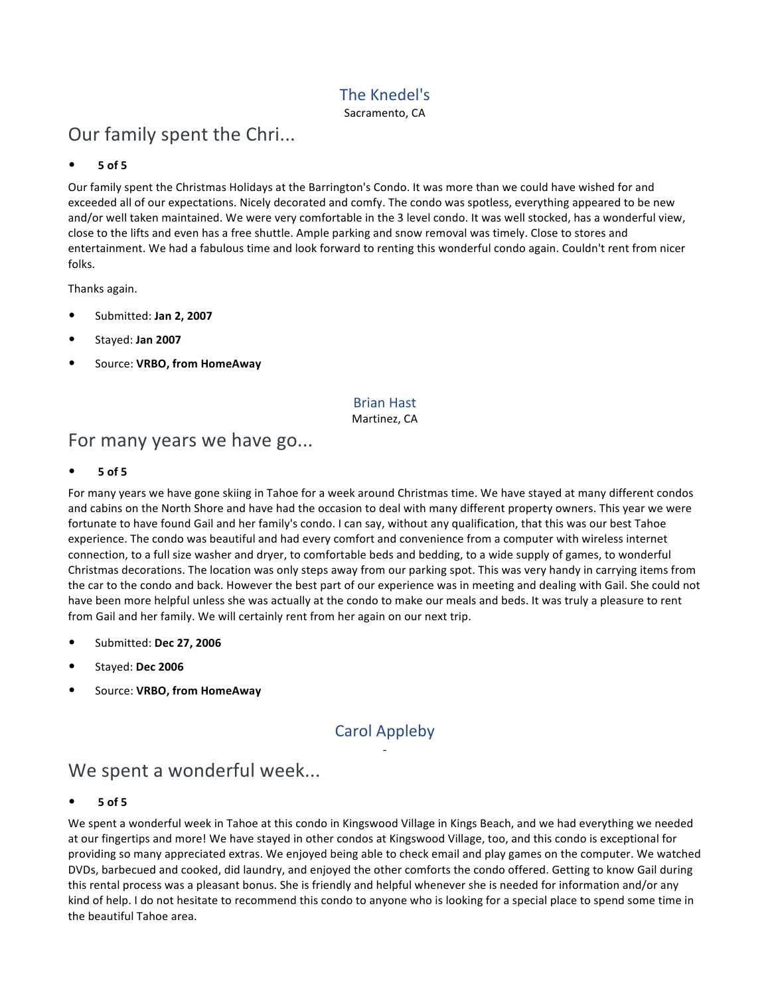### The Knedel's

Sacramento, CA

## Our family spent the Chri...

#### • **5 of 5**

Our family spent the Christmas Holidays at the Barrington's Condo. It was more than we could have wished for and exceeded all of our expectations. Nicely decorated and comfy. The condo was spotless, everything appeared to be new and/or well taken maintained. We were very comfortable in the 3 level condo. It was well stocked, has a wonderful view, close to the lifts and even has a free shuttle. Ample parking and snow removal was timely. Close to stores and entertainment. We had a fabulous time and look forward to renting this wonderful condo again. Couldn't rent from nicer folks.

Thanks again.

- Submitted: **Jan 2, 2007**
- Stayed: **Jan 2007**
- Source: **VRBO, from HomeAway**

#### Brian Hast

Martinez, CA

## For many years we have go...

• **5 of 5**

For many years we have gone skiing in Tahoe for a week around Christmas time. We have stayed at many different condos and cabins on the North Shore and have had the occasion to deal with many different property owners. This year we were fortunate to have found Gail and her family's condo. I can say, without any qualification, that this was our best Tahoe experience. The condo was beautiful and had every comfort and convenience from a computer with wireless internet connection, to a full size washer and dryer, to comfortable beds and bedding, to a wide supply of games, to wonderful Christmas decorations. The location was only steps away from our parking spot. This was very handy in carrying items from the car to the condo and back. However the best part of our experience was in meeting and dealing with Gail. She could not have been more helpful unless she was actually at the condo to make our meals and beds. It was truly a pleasure to rent from Gail and her family. We will certainly rent from her again on our next trip.

- Submitted: **Dec 27, 2006**
- Stayed: **Dec 2006**
- Source: **VRBO, from HomeAway**

### Carol Appleby -

## We spent a wonderful week...

• **5 of 5**

We spent a wonderful week in Tahoe at this condo in Kingswood Village in Kings Beach, and we had everything we needed at our fingertips and more! We have stayed in other condos at Kingswood Village, too, and this condo is exceptional for providing so many appreciated extras. We enjoyed being able to check email and play games on the computer. We watched DVDs, barbecued and cooked, did laundry, and enjoyed the other comforts the condo offered. Getting to know Gail during this rental process was a pleasant bonus. She is friendly and helpful whenever she is needed for information and/or any kind of help. I do not hesitate to recommend this condo to anyone who is looking for a special place to spend some time in the beautiful Tahoe area.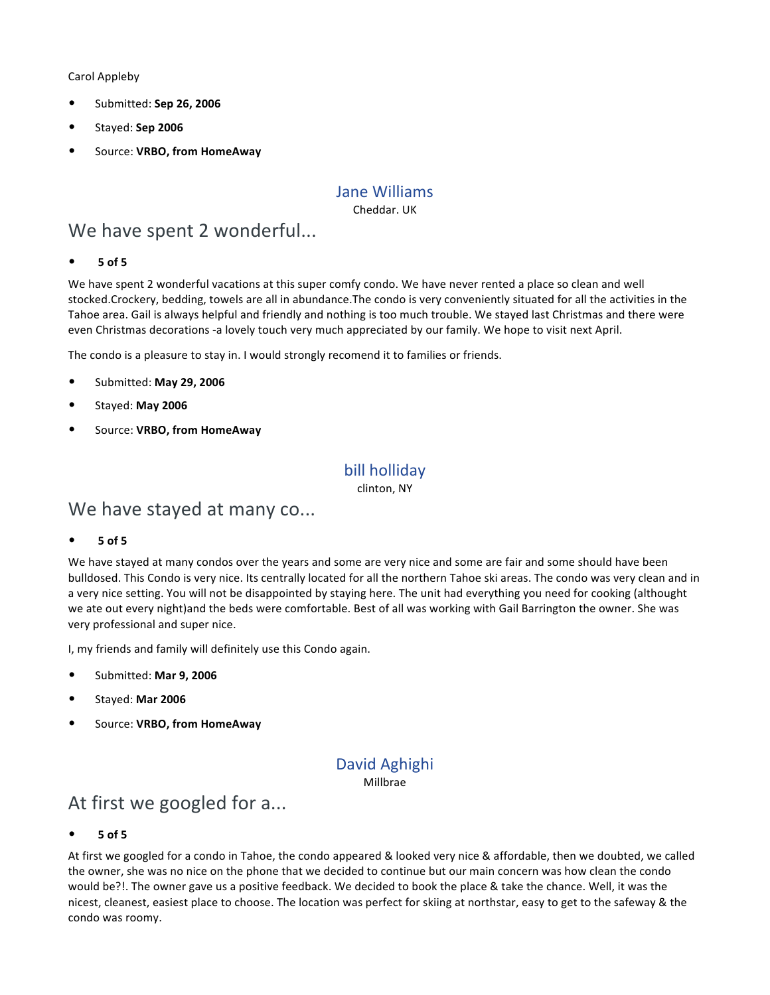Carol Appleby

- Submitted: **Sep 26, 2006**
- Stayed: **Sep 2006**
- Source: **VRBO, from HomeAway**

### Jane Williams

Cheddar. UK

## We have spent 2 wonderful...

#### • **5 of 5**

We have spent 2 wonderful vacations at this super comfy condo. We have never rented a place so clean and well stocked.Crockery, bedding, towels are all in abundance.The condo is very conveniently situated for all the activities in the Tahoe area. Gail is always helpful and friendly and nothing is too much trouble. We stayed last Christmas and there were even Christmas decorations -a lovely touch very much appreciated by our family. We hope to visit next April.

The condo is a pleasure to stay in. I would strongly recomend it to families or friends.

- Submitted: **May 29, 2006**
- Stayed: **May 2006**
- Source: **VRBO, from HomeAway**

### bill holliday

clinton, NY

### We have stayed at many co...

• **5 of 5**

We have stayed at many condos over the years and some are very nice and some are fair and some should have been bulldosed. This Condo is very nice. Its centrally located for all the northern Tahoe ski areas. The condo was very clean and in a very nice setting. You will not be disappointed by staying here. The unit had everything you need for cooking (althought we ate out every night)and the beds were comfortable. Best of all was working with Gail Barrington the owner. She was very professional and super nice.

I, my friends and family will definitely use this Condo again.

- Submitted: **Mar 9, 2006**
- Stayed: **Mar 2006**
- Source: **VRBO, from HomeAway**

### David Aghighi Millbrae

## At first we googled for a...

• **5 of 5**

At first we googled for a condo in Tahoe, the condo appeared & looked very nice & affordable, then we doubted, we called the owner, she was no nice on the phone that we decided to continue but our main concern was how clean the condo would be?!. The owner gave us a positive feedback. We decided to book the place & take the chance. Well, it was the nicest, cleanest, easiest place to choose. The location was perfect for skiing at northstar, easy to get to the safeway & the condo was roomy.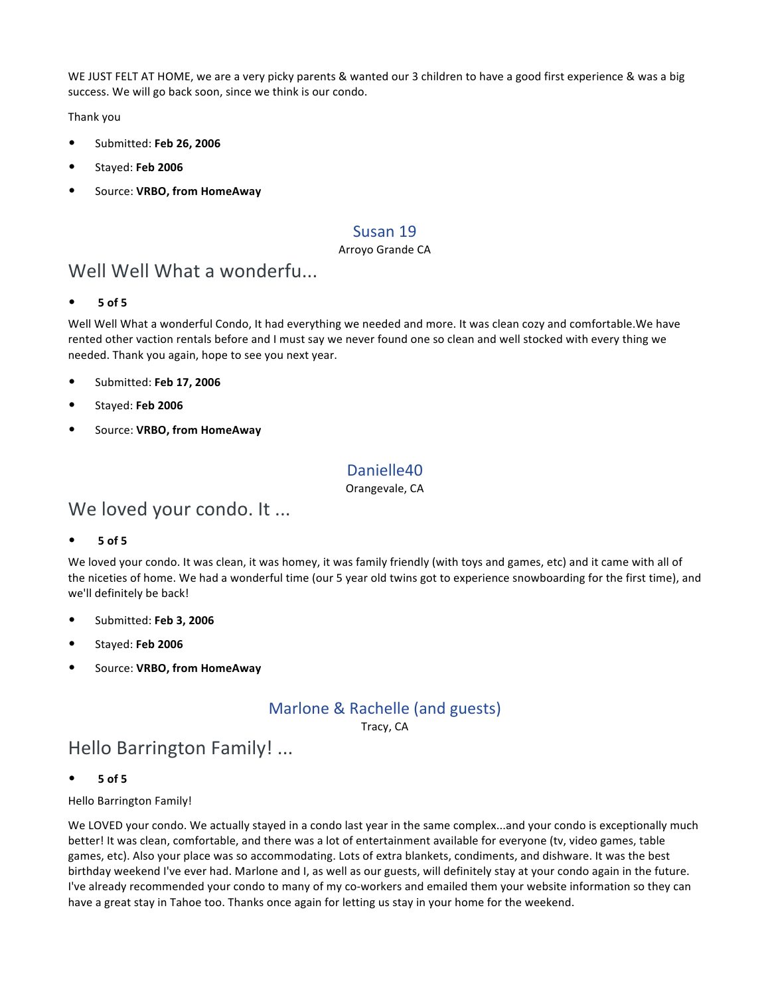WE JUST FELT AT HOME, we are a very picky parents & wanted our 3 children to have a good first experience & was a big success. We will go back soon, since we think is our condo.

Thank you

- Submitted: **Feb 26, 2006**
- Stayed: **Feb 2006**
- Source: **VRBO, from HomeAway**

### Susan 19

#### Arroyo Grande CA

### Well Well What a wonderfu...

• **5 of 5**

Well Well What a wonderful Condo, It had everything we needed and more. It was clean cozy and comfortable.We have rented other vaction rentals before and I must say we never found one so clean and well stocked with every thing we needed. Thank you again, hope to see you next year.

- Submitted: **Feb 17, 2006**
- Stayed: **Feb 2006**
- Source: **VRBO, from HomeAway**

### Danielle40

Orangevale, CA

## We loved your condo. It ...

• **5 of 5**

We loved your condo. It was clean, it was homey, it was family friendly (with toys and games, etc) and it came with all of the niceties of home. We had a wonderful time (our 5 year old twins got to experience snowboarding for the first time), and we'll definitely be back!

- Submitted: **Feb 3, 2006**
- Stayed: **Feb 2006**
- Source: **VRBO, from HomeAway**

## Marlone & Rachelle (and guests)

Tracy, CA

## Hello Barrington Family! ...

• **5 of 5**

Hello Barrington Family!

We LOVED your condo. We actually stayed in a condo last year in the same complex...and your condo is exceptionally much better! It was clean, comfortable, and there was a lot of entertainment available for everyone (tv, video games, table games, etc). Also your place was so accommodating. Lots of extra blankets, condiments, and dishware. It was the best birthday weekend I've ever had. Marlone and I, as well as our guests, will definitely stay at your condo again in the future. I've already recommended your condo to many of my co-workers and emailed them your website information so they can have a great stay in Tahoe too. Thanks once again for letting us stay in your home for the weekend.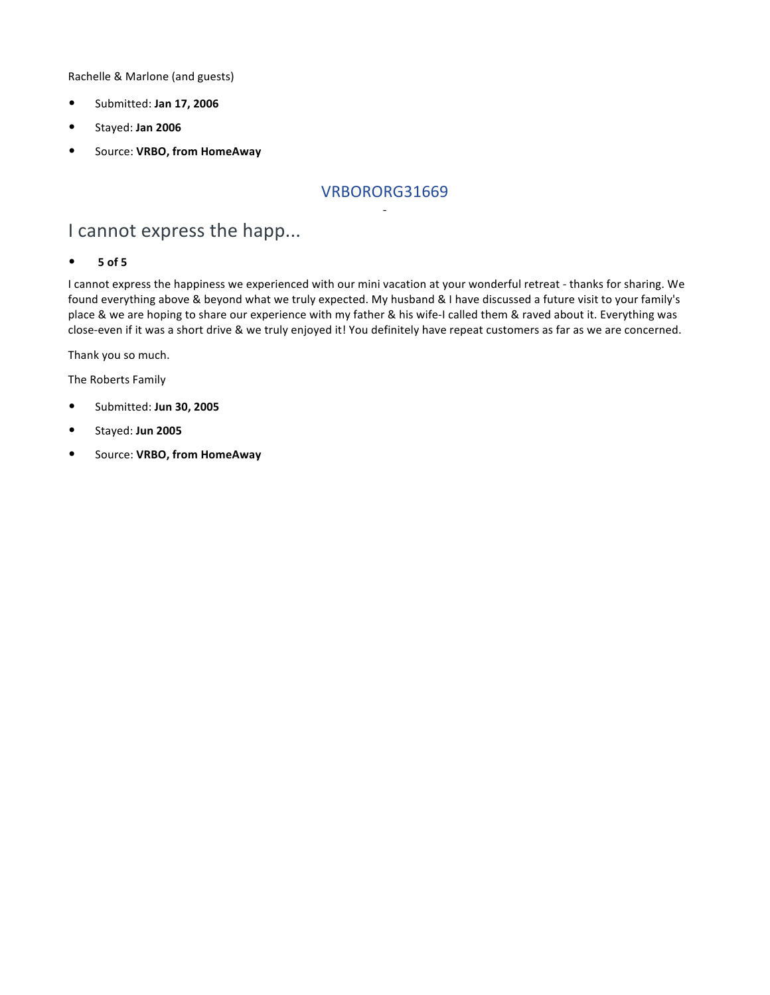Rachelle & Marlone (and guests)

- Submitted: **Jan 17, 2006**
- Stayed: **Jan 2006**
- Source: **VRBO, from HomeAway**

### VRBORORG31669 -

## I cannot express the happ...

#### • **5 of 5**

I cannot express the happiness we experienced with our mini vacation at your wonderful retreat - thanks for sharing. We found everything above & beyond what we truly expected. My husband & I have discussed a future visit to your family's place & we are hoping to share our experience with my father & his wife-I called them & raved about it. Everything was close-even if it was a short drive & we truly enjoyed it! You definitely have repeat customers as far as we are concerned.

Thank you so much.

The Roberts Family

- Submitted: **Jun 30, 2005**
- Stayed: **Jun 2005**
- Source: **VRBO, from HomeAway**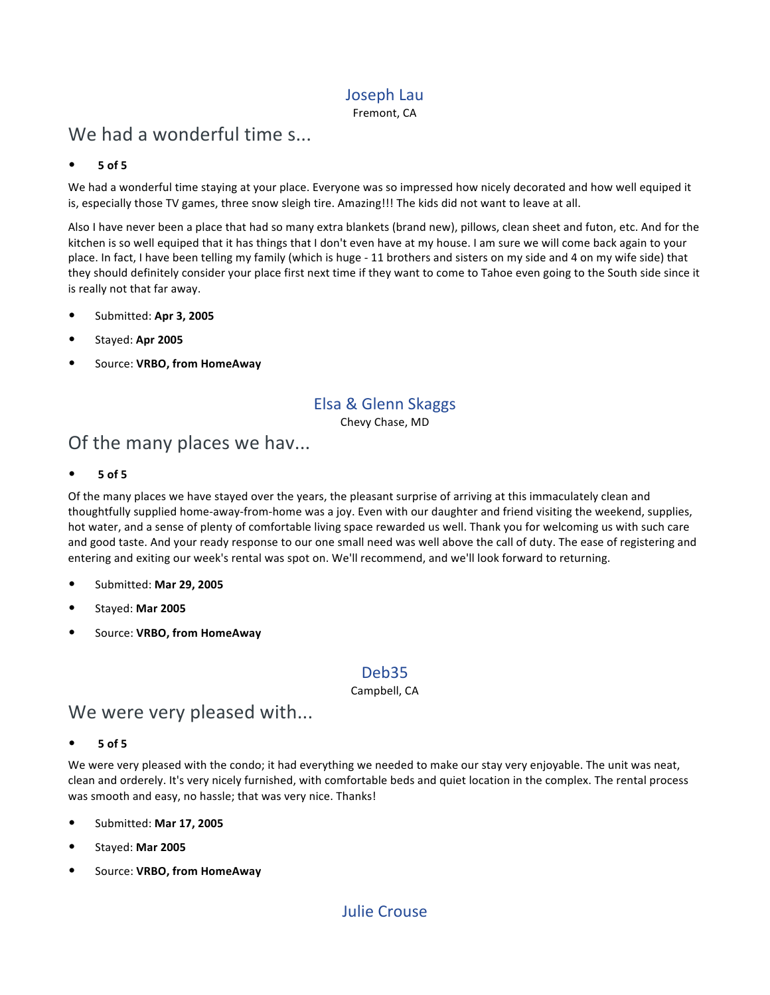### Joseph Lau

Fremont, CA

## We had a wonderful time s...

#### • **5 of 5**

We had a wonderful time staying at your place. Everyone was so impressed how nicely decorated and how well equiped it is, especially those TV games, three snow sleigh tire. Amazing!!! The kids did not want to leave at all.

Also I have never been a place that had so many extra blankets (brand new), pillows, clean sheet and futon, etc. And for the kitchen is so well equiped that it has things that I don't even have at my house. I am sure we will come back again to your place. In fact, I have been telling my family (which is huge - 11 brothers and sisters on my side and 4 on my wife side) that they should definitely consider your place first next time if they want to come to Tahoe even going to the South side since it is really not that far away.

- Submitted: **Apr 3, 2005**
- Stayed: **Apr 2005**
- Source: **VRBO, from HomeAway**

### Elsa & Glenn Skaggs

Chevy Chase, MD

## Of the many places we hav...

• **5 of 5**

Of the many places we have stayed over the years, the pleasant surprise of arriving at this immaculately clean and thoughtfully supplied home-away-from-home was a joy. Even with our daughter and friend visiting the weekend, supplies, hot water, and a sense of plenty of comfortable living space rewarded us well. Thank you for welcoming us with such care and good taste. And your ready response to our one small need was well above the call of duty. The ease of registering and entering and exiting our week's rental was spot on. We'll recommend, and we'll look forward to returning.

- Submitted: **Mar 29, 2005**
- Stayed: **Mar 2005**
- Source: **VRBO, from HomeAway**

### Deb35

#### Campbell, CA

### We were very pleased with...

• **5 of 5**

We were very pleased with the condo; it had everything we needed to make our stay very enjoyable. The unit was neat, clean and orderely. It's very nicely furnished, with comfortable beds and quiet location in the complex. The rental process was smooth and easy, no hassle; that was very nice. Thanks!

- Submitted: **Mar 17, 2005**
- Stayed: **Mar 2005**
- Source: **VRBO, from HomeAway**